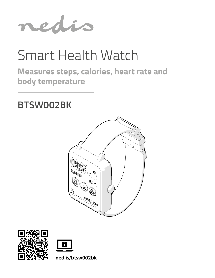

# Smart Health Watch

**Measures steps, calories, heart rate and body temperature**

## **BTSW002BK**







**ned.is/btsw002bk**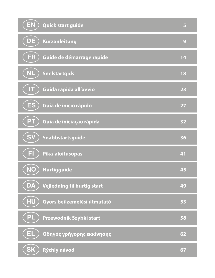| <b>EN</b><br>Quick start guide          | 5  |
|-----------------------------------------|----|
| DE)<br>Kurzanleitung                    | 9  |
| FR)<br>Guide de démarrage rapide        | 14 |
| NL<br><b>Snelstartgids</b>              | 18 |
| IT<br>Guida rapida all'avvio            | 23 |
| ES<br>Guía de inicio rápido             | 27 |
| PТ<br>Guia de iniciação rápida          | 32 |
| <b>SV</b><br>Snabbstartsguide           | 36 |
| FI<br>Pika-aloitusopas                  | 41 |
| (NO)<br>Hurtigguide                     | 45 |
| DA<br>Vejledning til hurtig start       | 49 |
| <b>HU</b><br>Gyors beüzemelési útmutató | 53 |
| PL<br>Przewodnik Szybki start           | 58 |
| EL.<br>Οδηγός γρήγορης εκκίνησης        | 62 |
| <b>SK</b><br>Rýchly návod               | 67 |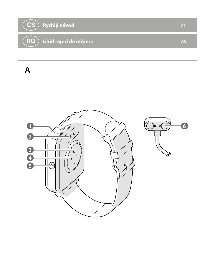

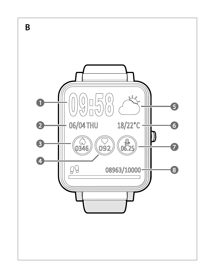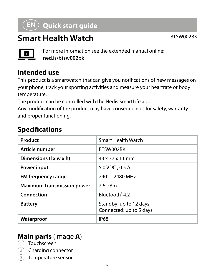## a **Quick start guide**

## **Smart Health Watch** BTSW002BK



For more information see the extended manual online: **ned.is/btsw002bk**

#### **Intended use**

This product is a smartwatch that can give you notifications of new messages on your phone, track your sporting activities and measure your heartrate or body temperature.

The product can be controlled with the Nedis SmartLife app.

Any modification of the product may have consequences for safety, warranty and proper functioning.

#### **Specifications**

| Product                           | Smart Health Watch                                |
|-----------------------------------|---------------------------------------------------|
| Article number                    | BTSW002BK                                         |
| Dimensions (I x w x h)            | $43 \times 37 \times 11$ mm                       |
| <b>Power input</b>                | $5.0$ VDC: 0.5 A                                  |
| FM frequency range                | 2402 - 2480 MHz                                   |
| <b>Maximum transmission power</b> | $2.6$ dBm                                         |
| Connection                        | Bluetooth <sup>®</sup> 4.2                        |
| <b>Battery</b>                    | Standby: up to 12 days<br>Connected: up to 5 days |
| Waterproof                        | <b>IP68</b>                                       |

#### **Main parts** (image **A**)

- 1 Touchscreen
- 2 Charging connector
- 3 Temperature sensor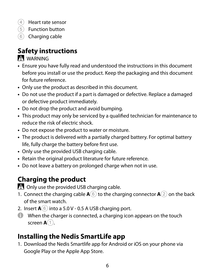- (4) Heart rate sensor
- 5 Function button
- 6 Charging cable

## **Safety instructions**

#### -WARNING

- **•** Ensure you have fully read and understood the instructions in this document before you install or use the product. Keep the packaging and this document for future reference.
- **•** Only use the product as described in this document.
- **•** Do not use the product if a part is damaged or defective. Replace a damaged or defective product immediately.
- **•** Do not drop the product and avoid bumping.
- **•** This product may only be serviced by a qualified technician for maintenance to reduce the risk of electric shock.
- **•** Do not expose the product to water or moisture.
- **•** The product is delivered with a partially charged battery. For optimal battery life, fully charge the battery before first use.
- **•** Only use the provided USB charging cable.
- **•** Retain the original product literature for future reference.
- **•** Do not leave a battery on prolonged charge when not in use.

## **Charging the product**

. Only use the provided USB charging cable.

- 1. Connect the charging cable  $\mathbf{A}(\widehat{\mathbf{6}})$  to the charging connector  $\mathbf{A}(\widehat{\mathbf{2}})$  on the back of the smart watch.
- 2. Insert  $\mathbf{A}(\widehat{\mathbf{6}})$  into a 5.0 V 0.5 A USB charging port.
- 4 When the charger is connected, a charging icon appears on the touch screen **A**<sup>1</sup>.

## **Installing the Nedis SmartLife app**

1. Download the Nedis Smartlife app for Android or iOS on your phone via Google Play or the Apple App Store.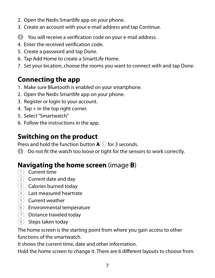- 2. Open the Nedis Smartlife app on your phone.
- 3. Create an account with your e-mail address and tap Continue.
- 4 You will receive a verification code on your e-mail address.
- 4. Enter the received verification code.
- 5. Create a password and tap Done.
- 6. Tap Add Home to create a SmartLife Home.
- 7. Set your location, choose the rooms you want to connect with and tap Done.

## **Connecting the app**

- 1. Make sure Bluetooth is enabled on your smartphone.
- 2. Open the Nedis Smartlife app on your phone.
- 3. Register or login to your account.
- 4. Tap + in the top right corner.
- 5. Select "Smartwatch"
- 6. Follow the instructions in the app.

## **Switching on the product**

Press and hold the function button **A**<sup>5</sup> for 3 seconds.

**4** Do not fit the watch too loose or tight for the sensors to work correctly.

## **Navigating the home screen** (image **B**)

- 1 Current time
- $(2)$  Current date and day
- 3 Calories burned today
- 4 Last measured heartrate
- 5 Current weather
- 6 Environmental temperature
- 7 Distance traveled today
- 8 Steps taken today

The home screen is the starting point from where you gain access to other functions of the smartwatch.

It shows the current time, date and other information.

Hold the home screen to change it. There are 6 different layouts to choose from.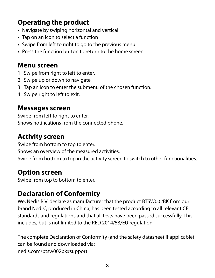## **Operating the product**

- **•** Navigate by swiping horizontal and vertical
- **•** Tap on an icon to select a function
- **•** Swipe from left to right to go to the previous menu
- **•** Press the function button to return to the home screen

#### **Menu screen**

- 1. Swipe from right to left to enter.
- 2. Swipe up or down to navigate.
- 3. Tap an icon to enter the submenu of the chosen function.
- 4. Swipe right to left to exit.

#### **Messages screen**

Swipe from left to right to enter. Shows notifications from the connected phone.

#### **Activity screen**

Swipe from bottom to top to enter. Shows an overview of the measured activities. Swipe from bottom to top in the activity screen to switch to other functionalities.

#### **Option screen**

Swipe from top to bottom to enter.

## **Declaration of Conformity**

We, Nedis B.V. declare as manufacturer that the product BTSW002BK from our brand Nedis<sup>\*</sup>, produced in China, has been tested according to all relevant CE standards and regulations and that all tests have been passed successfully. This includes, but is not limited to the RED 2014/53/EU regulation.

The complete Declaration of Conformity (and the safety datasheet if applicable) can be found and downloaded via: nedis.com/btsw002bk#support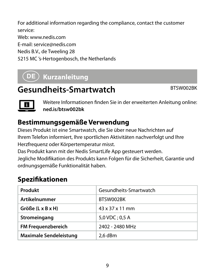For additional information regarding the compliance, contact the customer service:

Web: www.nedis.com

E-mail: service@nedis.com

Nedis B.V., de Tweeling 28

5215 MC 's-Hertogenbosch, the Netherlands

## c **Kurzanleitung**

## Gesundheits-Smartwatch BTSW002BK



Weitere Informationen finden Sie in der erweiterten Anleitung online: **ned.is/btsw002bk**

## **Bestimmungsgemäße Verwendung**

Dieses Produkt ist eine Smartwatch, die Sie über neue Nachrichten auf Ihrem Telefon informiert, Ihre sportlichen Aktivitäten nachverfolgt und Ihre Herzfrequenz oder Körpertemperatur misst.

Das Produkt kann mit der Nedis SmartLife App gesteuert werden.

Jegliche Modifikation des Produkts kann Folgen für die Sicherheit, Garantie und ordnungsgemäße Funktionalität haben.

## **Spezifikationen**

| Produkt                       | Gesundheits-Smartwatch      |
|-------------------------------|-----------------------------|
| Artikelnummer                 | BTSW002BK                   |
| Größe (L x B x H)             | $43 \times 37 \times 11$ mm |
| Stromeingang                  | 5,0 VDC ; 0,5 A             |
| FM Frequenzbereich            | 2402 - 2480 MHz             |
| <b>Maximale Sendeleistung</b> | 2.6 dBm                     |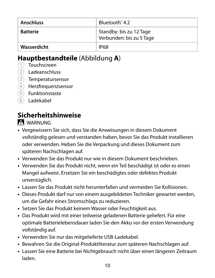| Anschluss   | Bluetooth <sup>*</sup> 4.2                          |
|-------------|-----------------------------------------------------|
| Batterie    | Standby: bis zu 12 Tage<br>Verbunden: bis zu 5 Tage |
| Wasserdicht | <b>IP68</b>                                         |

#### **Hauptbestandteile** (Abbildung **A**)

- 1 Touchscreen
- 2 Ladeanschluss
- 3 Temperatursensor
- 4 Herzfrequenzsensor
- 5 Funktionstaste
- 6 Ladekabel

## **Sicherheitshinweise**

#### WARNUNG

- **•** Vergewissern Sie sich, dass Sie die Anweisungen in diesem Dokument vollständig gelesen und verstanden haben, bevor Sie das Produkt installieren oder verwenden. Heben Sie die Verpackung und dieses Dokument zum späteren Nachschlagen auf.
- **•** Verwenden Sie das Produkt nur wie in diesem Dokument beschrieben.
- **•** Verwenden Sie das Produkt nicht, wenn ein Teil beschädigt ist oder es einen Mangel aufweist. Ersetzen Sie ein beschädigtes oder defektes Produkt unverzüglich.
- **•** Lassen Sie das Produkt nicht herunterfallen und vermeiden Sie Kollisionen.
- **•** Dieses Produkt darf nur von einem ausgebildeten Techniker gewartet werden, um die Gefahr eines Stromschlags zu reduzieren.
- **•** Setzen Sie das Produkt keinem Wasser oder Feuchtigkeit aus.
- **•** Das Produkt wird mit einer teilweise geladenen Batterie geliefert. Für eine optimale Batterielebensdauer laden Sie den Akku vor der ersten Verwendung vollständig auf.
- **•** Verwenden Sie nur das mitgelieferte USB-Ladekabel.
- **•** Bewahren Sie die Original-Produktliteratur zum späteren Nachschlagen auf.
- **•** Lassen Sie eine Batterie bei Nichtgebrauch nicht über einen längeren Zeitraum laden.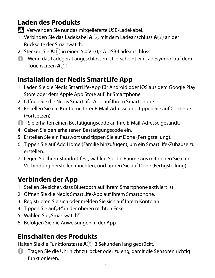## **Laden des Produkts**

-Verwenden Sie nur das mitgelieferte USB-Ladekabel.

- 1. Verbinden Sie das Ladekabel **A**6 mit dem Ladeanschluss **A**2 an der Rückseite der Smartwatch.
- 2. Stecken Sie **A**6 in einen 5,0 V 0,5 A USB-Ladeanschluss.
- 4 Wenn das Ladegerät angeschlossen ist, erscheint ein Ladesymbol auf dem Touchscreen **A**<sup>1</sup>.

## **Installation der Nedis SmartLife App**

- 1. Laden Sie die Nedis SmartLife-App für Android oder iOS aus dem Google Play Store oder dem Apple App Store auf Ihr Smartphone.
- 2. Öffnen Sie die Nedis SmartLife-App auf Ihrem Smartphone.
- 3. Erstellen Sie ein Konto mit Ihrer E-Mail-Adresse und tippen Sie auf Continue (Fortsetzen).
- 4 Sie erhalten einen Bestätigungscode an Ihre E-Mail-Adresse gesandt.
- 4. Geben Sie den erhaltenen Bestätigungscode ein.
- 5. Erstellen Sie ein Passwort und tippen Sie auf Done (Fertigstellung).
- 6. Tippen Sie auf Add Home (Familie hinzufügen), um ein SmartLife-Zuhause zu erstellen.
- 7. Legen Sie Ihren Standort fest, wählen Sie die Räume aus mit denen Sie eine Verbindung herstellen möchten, und tippen Sie auf Done (Fertigstellung).

## **Verbinden der App**

- 1. Stellen Sie sicher, dass Bluetooth auf Ihrem Smartphone aktiviert ist.
- 2. Öffnen Sie die Nedis SmartLife-App auf Ihrem Smartphone.
- 3. Registrieren Sie sich oder melden Sie sich auf Ihrem Konto an.
- 4. Tippen Sie auf "+" in der oberen rechten Ecke.
- 5. Wählen Sie "Smartwatch"
- 6. Befolgen Sie die Anweisungen in der App.

## **Einschalten des Produkts**

Halten Sie die Funktionstaste **A**5 3 Sekunden lang gedrückt.

4 Tragen Sie die Uhr nicht zu locker oder zu eng, damit die Sensoren richtig funktionieren.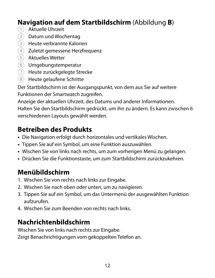## **Navigation auf dem Startbildschirm** (Abbildung **B**)

- 1 Aktuelle Uhrzeit
- 2 Datum und Wochentag
- 3 Heute verbrannte Kalorien
- 4 Zuletzt gemessene Herzfrequenz
- 5 Aktuelles Wetter
- 6 Umgebungstemperatur
- 7 Heute zurückgelegte Strecke
- 8 Heute gelaufene Schritte

Der Startbildschirm ist der Ausgangspunkt, von dem aus Sie auf weitere Funktionen der Smartwatch zugreifen.

Anzeige der aktuellen Uhrzeit, des Datums und anderer Informationen. Halten Sie den Startbildschirm gedrückt, um ihn zu ändern. Es kann zwischen 6 verschiedenen Layouts gewählt werden.

## **Betreiben des Produkts**

- **•** Die Navigation erfolgt durch horizontales und vertikales Wischen.
- **•** Tippen Sie auf ein Symbol, um eine Funktion auszuwählen.
- **•** Wischen Sie von links nach rechts, um zum vorherigen Menü zu gelangen.
- **•** Drücken Sie die Funktionstaste, um zum Startbildschirm zurückzukehren.

## **Menübildschirm**

- 1. Wischen Sie von rechts nach links zur Eingabe.
- 2. Wischen Sie nach oben oder unten, um zu navigieren.
- 3. Tippen Sie auf ein Symbol, um das Untermenü der ausgewählten Funktion aufzurufen.
- 4. Wischen Sie zum Beenden von rechts nach links.

## **Nachrichtenbildschirm**

Wischen Sie von links nach rechts zur Eingabe. Zeigt Benachrichtigungen vom gekoppelten Telefon an.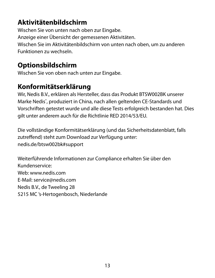### **Aktivitätenbildschirm**

Wischen Sie von unten nach oben zur Eingabe. Anzeige einer Übersicht der gemessenen Aktivitäten. Wischen Sie im Aktivitätenbildschirm von unten nach oben, um zu anderen Funktionen zu wechseln.

#### **Optionsbildschirm**

Wischen Sie von oben nach unten zur Eingabe.

#### **Konformitätserklärung**

Wir, Nedis B.V., erklären als Hersteller, dass das Produkt BTSW002BK unserer Marke Nedis<sup>\*</sup>, produziert in China, nach allen geltenden CE-Standards und Vorschriften getestet wurde und alle diese Tests erfolgreich bestanden hat. Dies gilt unter anderem auch für die Richtlinie RED 2014/53/EU.

Die vollständige Konformitätserklärung (und das Sicherheitsdatenblatt, falls zutreffend) steht zum Download zur Verfügung unter: nedis.de/btsw002bk#support

Weiterführende Informationen zur Compliance erhalten Sie über den Kundenservice: Web: www.nedis.com E-Mail: service@nedis.com Nedis B.V., de Tweeling 28 5215 MC 's-Hertogenbosch, Niederlande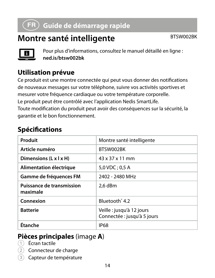## b **Guide de démarrage rapide**

## **Montre santé intelligente** BTSW002BK



Pour plus d'informations, consultez le manuel détaillé en ligne : **ned.is/btsw002bk**

## **Utilisation prévue**

Ce produit est une montre connectée qui peut vous donner des notifications de nouveaux messages sur votre téléphone, suivre vos activités sportives et mesurer votre fréquence cardiaque ou votre température corporelle. Le produit peut être contrôlé avec l'application Nedis SmartLife. Toute modification du produit peut avoir des conséquences sur la sécurité, la garantie et le bon fonctionnement.

#### **Spécifications**

| Produit                               | Montre santé intelligente                                |
|---------------------------------------|----------------------------------------------------------|
| Article numéro                        | BTSW002BK                                                |
| Dimensions (L x I x H)                | 43 x 37 x 11 mm                                          |
| Alimentation électrique               | 5,0 VDC; 0,5 A                                           |
| Gamme de fréquences FM                | 2402 - 2480 MHz                                          |
| Puissance de transmission<br>maximale | 2.6 dBm                                                  |
| Connexion                             | Bluetooth <sup>*</sup> 4.2                               |
| <b>Batterie</b>                       | Veille : jusqu'à 12 jours<br>Connectée : jusqu'à 5 jours |
| Étanche                               | <b>IP68</b>                                              |

#### **Pièces principales** (image **A**)

- 1 Écran tactile
- Connecteur de charge
- Capteur de température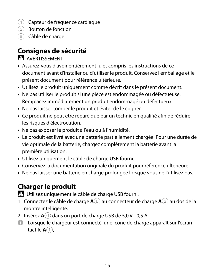- 4 Capteur de fréquence cardiaque
- 5 Bouton de fonction
- 6 Câble de charge

## **Consignes de sécurité**

#### AVERTISSEMENT

- **•** Assurez-vous d'avoir entièrement lu et compris les instructions de ce document avant d'installer ou d'utiliser le produit. Conservez l'emballage et le présent document pour référence ultérieure.
- **•** Utilisez le produit uniquement comme décrit dans le présent document.
- **•** Ne pas utiliser le produit si une pièce est endommagée ou défectueuse. Remplacez immédiatement un produit endommagé ou défectueux.
- **•** Ne pas laisser tomber le produit et éviter de le cogner.
- **•** Ce produit ne peut être réparé que par un technicien qualifié afin de réduire les risques d'électrocution.
- **•** Ne pas exposer le produit à l'eau ou à l'humidité.
- **•** Le produit est livré avec une batterie partiellement chargée. Pour une durée de vie optimale de la batterie, chargez complètement la batterie avant la première utilisation.
- **•** Utilisez uniquement le câble de charge USB fourni.
- **•** Conservez la documentation originale du produit pour référence ultérieure.
- **•** Ne pas laisser une batterie en charge prolongée lorsque vous ne l'utilisez pas.

## **Charger le produit**

-Utilisez uniquement le câble de charge USB fourni.

- 1. Connectez le câble de charge **A**6 au connecteur de charge **A**2 au dos de la montre intelligente.
- 2. Insérez **A**6 dans un port de charge USB de 5,0 V 0,5 A.
- 4 Lorsque le chargeur est connecté, une icône de charge apparaît sur l'écran tactile **A** $\cap$ .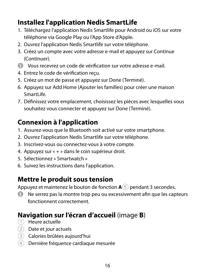## **Installez l'application Nedis SmartLife**

- 1. Téléchargez l'application Nedis Smartlife pour Android ou iOS sur votre téléphone via Google Play ou l'App Store d'Apple.
- 2. Ouvrez l'application Nedis Smartlife sur votre téléphone.
- 3. Créez un compte avec votre adresse e-mail et appuyez sur Continue (Continuer).
- 4 Vous recevrez un code de vérification sur votre adresse e-mail.
- 4. Entrez le code de vérification reçu.
- 5. Créez un mot de passe et appuyez sur Done (Terminé).
- 6. Appuyez sur Add Home (Ajouter les familles) pour créer une maison SmartLife
- 7. Définissez votre emplacement, choisissez les pièces avec lesquelles vous souhaitez vous connecter et appuyez sur Done (Terminé).

## **Connexion à l'application**

- 1. Assurez-vous que le Bluetooth soit activé sur votre smartphone.
- 2. Ouvrez l'application Nedis Smartlife sur votre téléphone.
- 3. Inscrivez-vous ou connectez-vous à votre compte.
- 4. Appuyez sur « + » dans le coin supérieur droit.
- 5. Sélectionnez « Smartwatch »
- 6. Suivez les instructions dans l'application.

## **Mettre le produit sous tension**

Appuyez et maintenez le bouton de fonction **A**5 pendant 3 secondes.

4 Ne serrez pas la montre trop peu ou excessivement afin que les capteurs fonctionnent correctement.

## **Navigation sur l'écran d'accueil** (image **B**)

- 1 Heure actuelle
- 2 Date et jour actuels
- 3 Calories brûlées aujourd'hui
- 4 Dernière fréquence cardiaque mesurée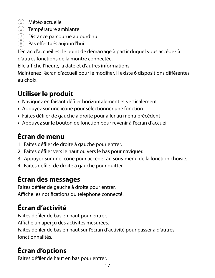- 5 Météo actuelle
- 6 Température ambiante
- 7 Distance parcourue aujourd'hui
- 8 Pas effectués aujourd'hui

L'écran d'accueil est le point de démarrage à partir duquel vous accédez à d'autres fonctions de la montre connectée.

Elle affiche l'heure, la date et d'autres informations.

Maintenez l'écran d'accueil pour le modifier. Il existe 6 dispositions différentes au choix.

## **Utiliser le produit**

- **•** Naviguez en faisant défiler horizontalement et verticalement
- **•** Appuyez sur une icône pour sélectionner une fonction
- **•** Faites défiler de gauche à droite pour aller au menu précédent
- **•** Appuyez sur le bouton de fonction pour revenir à l'écran d'accueil

## **Écran de menu**

- 1. Faites défiler de droite à gauche pour entrer.
- 2. Faites défiler vers le haut ou vers le bas pour naviguer.
- 3. Appuyez sur une icône pour accéder au sous-menu de la fonction choisie.
- 4. Faites défiler de droite à gauche pour quitter.

## **Écran des messages**

Faites défiler de gauche à droite pour entrer. Affiche les notifications du téléphone connecté.

## **Écran d'activité**

Faites défiler de bas en haut pour entrer. Affiche un aperçu des activités mesurées. Faites défiler de bas en haut sur l'écran d'activité pour passer à d'autres fonctionnalités.

## **Écran d'options**

Faites défiler de haut en bas pour entrer.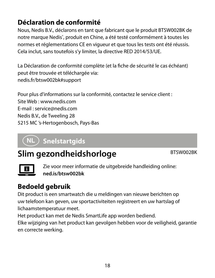## **Déclaration de conformité**

Nous, Nedis B.V., déclarons en tant que fabricant que le produit BTSW002BK de notre marque Nedis<sup>®</sup>, produit en Chine, a été testé conformément à toutes les normes et réglementations CE en vigueur et que tous les tests ont été réussis. Cela inclut, sans toutefois s'y limiter, la directive RED 2014/53/UE.

La Déclaration de conformité complète (et la fiche de sécurité le cas échéant) peut être trouvée et téléchargée via: nedis.fr/btsw002bk#support

Pour plus d'informations sur la conformité, contactez le service client : Site Web : www.nedis.com E-mail : service@nedis.com Nedis B.V., de Tweeling 28 5215 MC 's-Hertogenbosch, Pays-Bas

## (NL )Snelstartgids

## **Slim gezondheidshorloge** BTSW002BK



Zie voor meer informatie de uitgebreide handleiding online: **ned.is/btsw002bk**

## **Bedoeld gebruik**

Dit product is een smartwatch die u meldingen van nieuwe berichten op uw telefoon kan geven, uw sportactiviteiten registreert en uw hartslag of lichaamstemperatuur meet.

Het product kan met de Nedis SmartLife app worden bediend.

Elke wijziging van het product kan gevolgen hebben voor de veiligheid, garantie en correcte werking.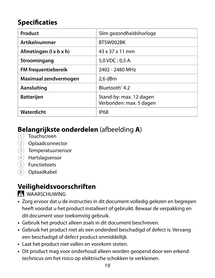### **Specificaties**

| Product                | Slim gezondheidshorloge                            |
|------------------------|----------------------------------------------------|
| <b>Artikelnummer</b>   | BTSW002BK                                          |
| Afmetingen (1 x b x h) | 43 x 37 x 11 mm                                    |
| Stroomingang           | 5.0 VDC: 0.5 A                                     |
| FM frequentiebereik    | 2402 - 2480 MHz                                    |
| Maximaal zendvermogen  | 2.6 dBm                                            |
| Aansluiting            | Bluetooth <sup>®</sup> 4.2                         |
| <b>Batterijen</b>      | Stand-by: max. 12 dagen<br>Verbonden: max. 5 dagen |
| Waterdicht             | <b>IP68</b>                                        |

## **Belangrijkste onderdelen** (afbeelding **A**)

- 1 Touchscreen
- 2 Oplaadconnector
- 3 Temperatuursensor
- 4 Hartslagsensor
- 5 Functietoets
- 6 Oplaadkabel

#### **Veiligheidsvoorschriften**

WAARSCHUWING

- **•** Zorg ervoor dat u de instructies in dit document volledig gelezen en begrepen heeft voordat u het product installeert of gebruikt. Bewaar de verpakking en dit document voor toekomstig gebruik.
- **•** Gebruik het product alleen zoals in dit document beschreven.
- **•** Gebruik het product niet als een onderdeel beschadigd of defect is. Vervang een beschadigd of defect product onmiddellijk.
- **•** Laat het product niet vallen en voorkom stoten.
- **•** Dit product mag voor onderhoud alleen worden geopend door een erkend technicus om het risico op elektrische schokken te verkleinen.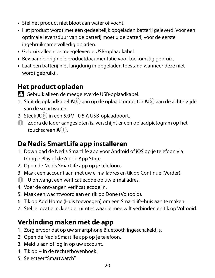- **•** Stel het product niet bloot aan water of vocht.
- **•** Het product wordt met een gedeeltelijk opgeladen batterij geleverd. Voor een optimale levensduur van de batterij moet u de batterij vóór de eerste ingebruikname volledig opladen.
- **•** Gebruik alleen de meegeleverde USB-oplaadkabel.
- **•** Bewaar de originele productdocumentatie voor toekomstig gebruik.
- **•** Laat een batterij niet langdurig in opgeladen toestand wanneer deze niet wordt gebruikt .

#### **Het product opladen**

-Gebruik alleen de meegeleverde USB-oplaadkabel.

- 1. Sluit de oplaadkabel **A**6 aan op de oplaadconnector **A**2 aan de achterzijde van de smartwatch.
- 2. Steek **A**6 in een 5,0 V 0,5 A USB-oplaadpoort.
- 4 Zodra de lader aangesloten is, verschijnt er een oplaadpictogram op het touchscreen **A**<sup>1</sup>.

#### **De Nedis SmartLife app installeren**

- 1. Download de Nedis Smartlife app voor Android of iOS op je telefoon via Google Play of de Apple App Store.
- 2. Open de Nedis Smartlife app op je telefoon.
- 3. Maak een account aan met uw e-mailadres en tik op Continue (Verder).
- 4 U ontvangt een verificatiecode op uw e-mailadres.
- 4. Voer de ontvangen verificatiecode in.
- 5. Maak een wachtwoord aan en tik op Done (Voltooid).
- 6. Tik op Add Home (Huis toevoegen) om een SmartLife-huis aan te maken.
- 7. Stel je locatie in, kies de ruimtes waar je mee wilt verbinden en tik op Voltooid.

#### **Verbinding maken met de app**

- 1. Zorg ervoor dat op uw smartphone Bluetooth ingeschakeld is.
- 2. Open de Nedis Smartlife app op je telefoon.
- 3. Meld u aan of log in op uw account.
- 4. Tik op + in de rechterbovenhoek.
- 5. Selecteer "Smartwatch"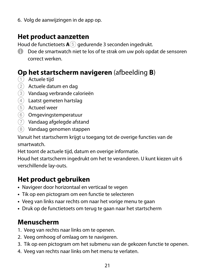6. Volg de aanwijzingen in de app op.

#### **Het product aanzetten**

Houd de functietoets  $\mathbf{A}(5)$  gedurende 3 seconden ingedrukt.

4 Doe de smartwatch niet te los of te strak om uw pols opdat de sensoren correct werken.

#### **Op het startscherm navigeren** (afbeelding **B**)

- $(1)$  Actuele tiid
- 2 Actuele datum en dag
- 3 Vandaag verbrande calorieën
- 4 Laatst gemeten hartslag
- 5 Actueel weer
- 6 Omgevingstemperatuur
- 7 Vandaag afgelegde afstand
- 8 Vandaag genomen stappen

Vanuit het startscherm krijgt u toegang tot de overige functies van de smartwatch.

Het toont de actuele tijd, datum en overige informatie.

Houd het startscherm ingedrukt om het te veranderen. U kunt kiezen uit 6 verschillende lay-outs.

#### **Het product gebruiken**

- **•** Navigeer door horizontaal en verticaal te vegen
- **•** Tik op een pictogram om een functie te selecteren
- **•** Veeg van links naar rechts om naar het vorige menu te gaan
- **•** Druk op de functietoets om terug te gaan naar het startscherm

#### **Menuscherm**

- 1. Veeg van rechts naar links om te openen.
- 2. Veeg omhoog of omlaag om te navigeren.
- 3. Tik op een pictogram om het submenu van de gekozen functie te openen.
- 4. Veeg van rechts naar links om het menu te verlaten.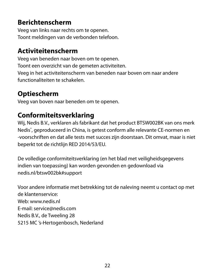### **Berichtenscherm**

Veeg van links naar rechts om te openen. Toont meldingen van de verbonden telefoon.

## **Activiteitenscherm**

Veeg van beneden naar boven om te openen. Toont een overzicht van de gemeten activiteiten. Veeg in het activiteitenscherm van beneden naar boven om naar andere functionaliteiten te schakelen.

## **Optiescherm**

Veeg van boven naar beneden om te openen.

## **Conformiteitsverklaring**

Wij, Nedis B.V., verklaren als fabrikant dat het product BTSW002BK van ons merk Nedis® , geproduceerd in China, is getest conform alle relevante CE-normen en -voorschriften en dat alle tests met succes zijn doorstaan. Dit omvat, maar is niet beperkt tot de richtlijn RED 2014/53/EU.

De volledige conformiteitsverklaring (en het blad met veiligheidsgegevens indien van toepassing) kan worden gevonden en gedownload via nedis.nl/btsw002bk#support

Voor andere informatie met betrekking tot de naleving neemt u contact op met de klantenservice: Web: www.nedis.nl E-mail: service@nedis.com Nedis B.V., de Tweeling 28 5215 MC 's-Hertogenbosch, Nederland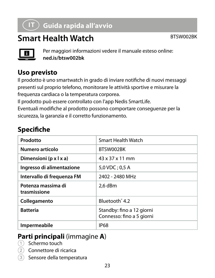## j **Guida rapida all'avvio**

## **Smart Health Watch** BTSW002BK



Per maggiori informazioni vedere il manuale esteso online: **ned.is/btsw002bk**

## **Uso previsto**

Il prodotto è uno smartwatch in grado di inviare notifiche di nuovi messaggi presenti sul proprio telefono, monitorare le attività sportive e misurare la frequenza cardiaca o la temperatura corporea.

Il prodotto può essere controllato con l'app Nedis SmartLife.

Eventuali modifiche al prodotto possono comportare conseguenze per la sicurezza, la garanzia e il corretto funzionamento.

## **Specifiche**

| Prodotto                           | Smart Health Watch                                     |
|------------------------------------|--------------------------------------------------------|
| Numero articolo                    | BTSW002BK                                              |
| Dimensioni (p x l x a)             | $43 \times 37 \times 11$ mm                            |
| Ingresso di alimentazione          | $5.0$ VDC: 0.5 A                                       |
| Intervallo di frequenza FM         | 2402 - 2480 MHz                                        |
| Potenza massima di<br>trasmissione | 2.6 dBm                                                |
| Collegamento                       | Bluetooth <sup>*</sup> 4.2                             |
| <b>Batteria</b>                    | Standby: fino a 12 giorni<br>Connesso: fino a 5 giorni |
| Impermeabile                       | <b>IP68</b>                                            |

#### **Parti principali** (immagine **A**)

- 1 Schermo touch
- Connettore di ricarica
- 3 Sensore della temperatura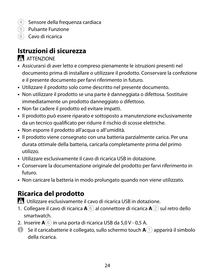- $(4)$  Sensore della frequenza cardiaca
- 5 Pulsante Funzione
- 6 Cavo di ricarica

### **Istruzioni di sicurezza**

#### **ATTENZIONE**

- **•** Assicurarsi di aver letto e compreso pienamente le istruzioni presenti nel documento prima di installare o utilizzare il prodotto. Conservare la confezione e il presente documento per farvi riferimento in futuro.
- **•** Utilizzare il prodotto solo come descritto nel presente documento.
- **•** Non utilizzare il prodotto se una parte è danneggiata o difettosa. Sostituire immediatamente un prodotto danneggiato o difettoso.
- **•** Non far cadere il prodotto ed evitare impatti.
- **•** Il prodotto può essere riparato e sottoposto a manutenzione esclusivamente da un tecnico qualificato per ridurre il rischio di scosse elettriche.
- **•** Non esporre il prodotto all'acqua o all'umidità.
- **•** Il prodotto viene consegnato con una batteria parzialmente carica. Per una durata ottimale della batteria, caricarla completamente prima del primo utilizzo.
- **•** Utilizzare esclusivamente il cavo di ricarica USB in dotazione.
- **•** Conservare la documentazione originale del prodotto per farvi riferimento in futuro.
- **•** Non caricare la batteria in modo prolungato quando non viene utilizzato.

## **Ricarica del prodotto**

-Utilizzare esclusivamente il cavo di ricarica USB in dotazione.

- 1. Collegare il cavo di ricarica **A**6 al connettore di ricarica **A**2 sul retro dello smartwatch.
- 2. Inserire **A**6 in una porta di ricarica USB da 5,0 V 0,5 A.
- $\bullet$  Se il caricabatterie è collegato, sullo schermo touch  $\mathbf{A}(\mathbf{1})$  apparirà il simbolo della ricarica.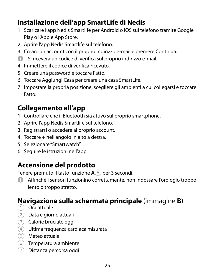### **Installazione dell'app SmartLife di Nedis**

- 1. Scaricare l'app Nedis Smartlife per Android o iOS sul telefono tramite Google Play o l'Apple App Store.
- 2. Aprire l'app Nedis Smartlife sul telefono.
- 3. Creare un account con il proprio indirizzo e-mail e premere Continua.
- 4 Si riceverà un codice di verifica sul proprio indirizzo e-mail.
- 4. Immettere il codice di verifica ricevuto.
- 5. Creare una password e toccare Fatto.
- 6. Toccare Aggiungi Casa per creare una casa SmartLife.
- 7. Impostare la propria posizione, scegliere gli ambienti a cui collegarsi e toccare Fatto.

## **Collegamento all'app**

- 1. Controllare che il Bluetooth sia attivo sul proprio smartphone.
- 2. Aprire l'app Nedis Smartlife sul telefono.
- 3. Registrarsi o accedere al proprio account.
- 4. Toccare + nell'angolo in alto a destra.
- 5. Selezionare "Smartwatch"
- 6. Seguire le istruzioni nell'app.

## **Accensione del prodotto**

Tenere premuto il tasto funzione **A**5 per 3 secondi.

4 Affinché i sensori funzionino correttamente, non indossare l'orologio troppo lento o troppo stretto.

#### **Navigazione sulla schermata principale** (immagine **B**)

- 1 Ora attuale
- 2 Data e giorno attuali
- 3 Calorie bruciate oggi
- 4 Ultima frequenza cardiaca misurata
- 5 Meteo attuale
- 6 Temperatura ambiente
- $(7)$  Distanza percorsa oggi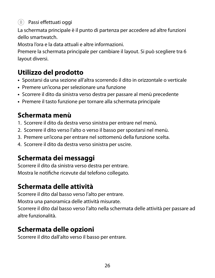#### 8 Passi effettuati oggi

La schermata principale è il punto di partenza per accedere ad altre funzioni dello smartwatch.

Mostra l'ora e la data attuali e altre informazioni.

Premere la schermata principale per cambiare il layout. Si può scegliere tra 6 layout diversi.

## **Utilizzo del prodotto**

- **•** Spostarsi da una sezione all'altra scorrendo il dito in orizzontale o verticale
- **•** Premere un'icona per selezionare una funzione
- **•** Scorrere il dito da sinistra verso destra per passare al menù precedente
- **•** Premere il tasto funzione per tornare alla schermata principale

## **Schermata menù**

- 1. Scorrere il dito da destra verso sinistra per entrare nel menù.
- 2. Scorrere il dito verso l'alto o verso il basso per spostarsi nel menù.
- 3. Premere un'icona per entrare nel sottomenù della funzione scelta.
- 4. Scorrere il dito da destra verso sinistra per uscire.

## **Schermata dei messaggi**

Scorrere il dito da sinistra verso destra per entrare. Mostra le notifiche ricevute dal telefono collegato.

## **Schermata delle attività**

Scorrere il dito dal basso verso l'alto per entrare.

Mostra una panoramica delle attività misurate.

Scorrere il dito dal basso verso l'alto nella schermata delle attività per passare ad altre funzionalità.

## **Schermata delle opzioni**

Scorrere il dito dall'alto verso il basso per entrare.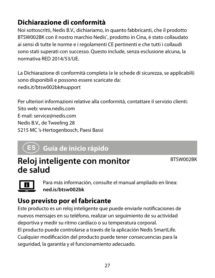## **Dichiarazione di conformità**

Noi sottoscritti, Nedis B.V., dichiariamo, in quanto fabbricanti, che il prodotto BTSW002BK con il nostro marchio Nedis<sup>\*</sup>, prodotto in Cina, è stato collaudato ai sensi di tutte le norme e i regolamenti CE pertinenti e che tutti i collaudi sono stati superati con successo. Questo include, senza esclusione alcuna, la normativa RED 2014/53/UE.

La Dichiarazione di conformità completa (e le schede di sicurezza, se applicabili) sono disponibili e possono essere scaricate da: nedis.it/btsw002bk#support

Per ulteriori informazioni relative alla conformità, contattare il servizio clienti: Sito web: www.nedis.com E-mail: service@nedis.com Nedis B.V., de Tweeling 28 5215 MC 's-Hertogenbosch, Paesi Bassi

## h **Guía de inicio rápido**

## **Reloj inteligente con monitor de salud**

BTSW002BK

Para más información, consulte el manual ampliado en línea: **ned.is/btsw002bk**

## **Uso previsto por el fabricante**

Este producto es un reloj inteligente que puede enviarle notificaciones de nuevos mensajes en su teléfono, realizar un seguimiento de su actividad deportiva y medir su ritmo cardíaco o su temperatura corporal. El producto puede controlarse a través de la aplicación Nedis SmartLife. Cualquier modificación del producto puede tener consecuencias para la seguridad, la garantía y el funcionamiento adecuado.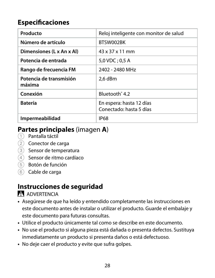## **Especificaciones**

| Producto                          | Reloj inteligente con monitor de salud              |
|-----------------------------------|-----------------------------------------------------|
| Número de artículo                | BTSW002BK                                           |
| Dimensiones (L x An x Al)         | 43 x 37 x 11 mm                                     |
| Potencia de entrada               | 5,0 VDC; 0,5 A                                      |
| Rango de frecuencia FM            | 2402 - 2480 MHz                                     |
| Potencia de transmisión<br>máxima | 2.6 dBm                                             |
| Conexión                          | Bluetooth <sup>*</sup> 4.2                          |
| <b>Batería</b>                    | En espera: hasta 12 días<br>Conectado: hasta 5 días |
| Impermeabilidad                   | <b>IP68</b>                                         |

#### **Partes principales** (imagen **A**)

- 1 Pantalla táctil
- 2 Conector de carga
- 3 Sensor de temperatura
- 4 Sensor de ritmo cardíaco
- 5 Botón de función
- 6 Cable de carga

#### **Instrucciones de seguridad**

**N** ADVERTENCIA

- **•** Asegúrese de que ha leído y entendido completamente las instrucciones en este documento antes de instalar o utilizar el producto. Guarde el embalaje y este documento para futuras consultas.
- **•** Utilice el producto únicamente tal como se describe en este documento.
- **•** No use el producto si alguna pieza está dañada o presenta defectos. Sustituya inmediatamente un producto si presenta daños o está defectuoso.
- **•** No deje caer el producto y evite que sufra golpes.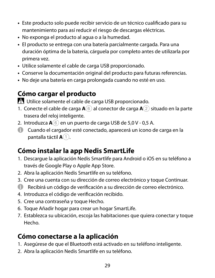- **•** Este producto solo puede recibir servicio de un técnico cualificado para su mantenimiento para así reducir el riesgo de descargas eléctricas.
- **•** No exponga el producto al agua o a la humedad.
- **•** El producto se entrega con una batería parcialmente cargada. Para una duración óptima de la batería, cárguela por completo antes de utilizarla por primera vez.
- **•** Utilice solamente el cable de carga USB proporcionado.
- **•** Conserve la documentación original del producto para futuras referencias.
- **•** No deje una batería en carga prolongada cuando no esté en uso.

## **Cómo cargar el producto**

-Utilice solamente el cable de carga USB proporcionado.

- 1. Conecte el cable de carga **A**6 al conector de carga **A**2 situado en la parte trasera del reloj inteligente.
- 2. Introduzca  $\mathbf{A}(6)$  en un puerto de carga USB de 5,0 V 0,5 A.
- 4 Cuando el cargador esté conectado, aparecerá un icono de carga en la pantalla táctil **A**1.

## **Cómo instalar la app Nedis SmartLife**

- 1. Descargue la aplicación Nedis Smartlife para Android o iOS en su teléfono a través de Google Play o Apple App Store.
- 2. Abra la aplicación Nedis Smartlife en su teléfono.
- 3. Cree una cuenta con su dirección de correo electrónico y toque Continuar.
- 4 Recibirá un código de verificación a su dirección de correo electrónico.
- 4. Introduzca el código de verificación recibido.
- 5. Cree una contraseña y toque Hecho.
- 6. Toque Añadir hogar para crear un hogar SmartLife.
- 7. Establezca su ubicación, escoja las habitaciones que quiera conectar y toque Hecho.

## **Cómo conectarse a la aplicación**

- 1. Asegúrese de que el Bluetooth está activado en su teléfono inteligente.
- 2. Abra la aplicación Nedis Smartlife en su teléfono.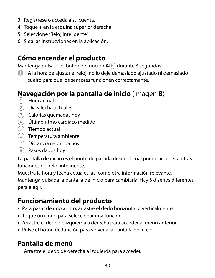- 3. Regístrese o acceda a su cuenta.
- 4. Toque + en la esquina superior derecha.
- 5. Seleccione "Reloj inteligente"
- 6. Siga las instrucciones en la aplicación.

#### **Cómo encender el producto**

Mantenga pulsado el botón de función **A**5 durante 3 segundos.

4 A la hora de ajustar el reloj, no lo deje demasiado ajustado ni demasiado suelto para que los sensores funcionen correctamente.

#### **Navegación por la pantalla de inicio** (imagen **B**)

- 1 Hora actual
- 2 Día y fecha actuales
- 3 Calorías quemadas hoy
- 4 Último ritmo cardíaco medido
- 5 Tiempo actual
- 6 Temperatura ambiente
- 7 Distancia recorrida hoy
- 8 Pasos dados hoy

La pantalla de inicio es el punto de partida desde el cual puede acceder a otras funciones del reloj inteligente.

Muestra la hora y fecha actuales, así como otra información relevante.

Mantenga pulsada la pantalla de inicio para cambiarla. Hay 6 diseños diferentes para elegir.

#### **Funcionamiento del producto**

- **•** Para pasar de uno a otro, arrastre el dedo horizontal o verticalmente
- **•** Toque un icono para seleccionar una función
- **•** Arrastre el dedo de izquierda a derecha para acceder al menú anterior
- **•** Pulse el botón de función para volver a la pantalla de inicio

#### **Pantalla de menú**

1. Arrastre el dedo de derecha a izquierda para acceder.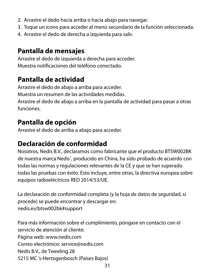- 2. Arrastre el dedo hacia arriba o hacia abajo para navegar.
- 3. Toque un icono para acceder al menú secundario de la función seleccionada.
- 4. Arrastre el dedo de derecha a izquierda para salir.

#### **Pantalla de mensajes**

Arrastre el dedo de izquierda a derecha para acceder. Muestra notificaciones del teléfono conectado.

## **Pantalla de actividad**

Arrastre el dedo de abajo a arriba para acceder.

Muestra un resumen de las actividades medidas.

Arrastre el dedo de abajo a arriba en la pantalla de actividad para pasar a otras funciones.

## **Pantalla de opción**

Arrastre el dedo de arriba a abajo para acceder.

## **Declaración de conformidad**

Nosotros, Nedis B.V., declaramos como fabricante que el producto BTSW002BK de nuestra marca Nedis<sup>\*</sup>, producido en China, ha sido probado de acuerdo con todas las normas y regulaciones relevantes de la CE y que se han superado todas las pruebas con éxito. Esto incluye, entre otras, la directiva europea sobre equipos radioeléctricos RED 2014/53/UE.

La declaración de conformidad completa (y la hoja de datos de seguridad, si procede) se puede encontrar y descargar en: nedis.es/btsw002bk#support

Para más información sobre el cumplimiento, póngase en contacto con el servicio de atención al cliente: Página web: www.nedis.com Correo electrónico: service@nedis.com Nedis B.V., de Tweeling 28 5215 MC 's-Hertogenbosch (Países Bajos)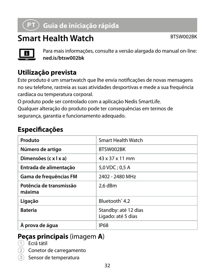## i **Guia de iniciação rápida**

## **Smart Health Watch** BTSW002BK



Para mais informações, consulte a versão alargada do manual on-line: **ned.is/btsw002bk**

## **Utilização prevista**

Este produto é um smartwatch que lhe envia notificações de novas mensagens no seu telefone, rastreia as suas atividades desportivas e mede a sua frequência cardíaca ou temperatura corporal.

O produto pode ser controlado com a aplicação Nedis SmartLife. Qualquer alteração do produto pode ter consequências em termos de segurança, garantia e funcionamento adequado.

## **Especificações**

| Produto                           | Smart Health Watch                         |
|-----------------------------------|--------------------------------------------|
| Número de artigo                  | BTSW002BK                                  |
| Dimensões (c x   x a)             | $43 \times 37 \times 11$ mm                |
| Entrada de alimentação            | 5,0 VDC ; 0,5 A                            |
| Gama de frequências FM            | 2402 - 2480 MHz                            |
| Potência de transmissão<br>máxima | 2.6 dBm                                    |
| Ligação                           | Bluetooth <sup>®</sup> 4.2                 |
| <b>Bateria</b>                    | Standby: até 12 dias<br>Ligado: até 5 dias |
| À prova de áqua                   | <b>IP68</b>                                |

#### **Peças principais** (imagem **A**)

- $\widehat{1}$  Ecrã tátil
- Conetor de carregamento
- Sensor de temperatura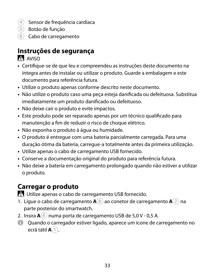- $\overline{4}$  Sensor de frequência cardíaca
- 5 Botão de função
- 6 Cabo de carregamento

## **Instruções de segurança**

AVISO

- **•** Certifique-se de que leu e compreendeu as instruções deste documento na íntegra antes de instalar ou utilizar o produto. Guarde a embalagem e este documento para referência futura.
- **•** Utilize o produto apenas conforme descrito neste documento.
- **•** Não utilize o produto caso uma peça esteja danificada ou defeituosa. Substitua imediatamente um produto danificado ou defeituoso.
- **•** Não deixe cair o produto e evite impactos.
- **•** Este produto pode ser reparado apenas por um técnico qualificado para manutenção a fim de reduzir o risco de choque elétrico.
- **•** Não exponha o produto à água ou humidade.
- **•** O produto é entregue com uma bateria parcialmente carregada. Para uma duração ótima da bateria, carregue-a totalmente antes da primeira utilização.
- **•** Utilize apenas o cabo de carregamento USB fornecido.
- **•** Conserve a documentação original do produto para referência futura.
- **•** Não deixe a bateria em carregamento prolongado quando não estiver a utilizar o produto.

## **Carregar o produto**

-Utilize apenas o cabo de carregamento USB fornecido.

- 1. Ligue o cabo de carregamento **A**6 ao conetor de carregamento **A**2 na parte posterior do smartwatch.
- 2. Insira **A**6 numa porta de carregamento USB de 5,0 V 0,5 A.
- 4 Quando o carregador estiver ligado, aparece um ícone de carregamento no ecrã tátil **A**1.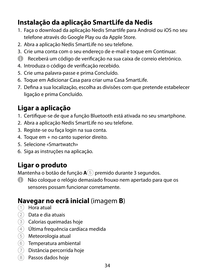## **Instalação da aplicação SmartLife da Nedis**

- 1. Faça o download da aplicação Nedis Smartlife para Android ou iOS no seu telefone através do Google Play ou da Apple Store.
- 2. Abra a aplicação Nedis SmartLife no seu telefone.
- 3. Crie uma conta com o seu endereço de e-mail e toque em Continuar.
- 4 Receberá um código de verificação na sua caixa de correio eletrónico.
- 4. Introduza o código de verificação recebido.
- 5. Crie uma palavra-passe e prima Concluído.
- 6. Toque em Adicionar Casa para criar uma Casa SmartLife.
- 7. Defina a sua localização, escolha as divisões com que pretende estabelecer ligação e prima Concluído.

## **Ligar a aplicação**

- 1. Certifique-se de que a função Bluetooth está ativada no seu smartphone.
- 2. Abra a aplicação Nedis SmartLife no seu telefone.
- 3. Registe-se ou faça login na sua conta.
- 4. Toque em + no canto superior direito.
- 5. Selecione «Smartwatch»
- 6. Siga as instruções na aplicação.

## **Ligar o produto**

Mantenha o botão de função **A**5 premido durante 3 segundos.

4 Não coloque o relógio demasiado frouxo nem apertado para que os sensores possam funcionar corretamente.

#### **Navegar no ecrã inicial** (imagem **B**)

- $(1)$  Hora atual
- 2 Data e dia atuais
- 3 Calorias queimadas hoje
- 4 Última frequência cardíaca medida
- 5 Meteorologia atual
- 6 Temperatura ambiental
- $(7)$  Distância percorrida hoje
- 8 Passos dados hoje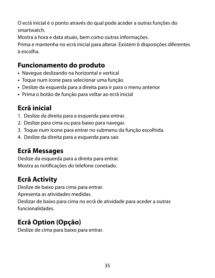O ecrã inicial é o ponto através do qual pode aceder a outras funções do smartwatch.

Mostra a hora e data atuais, bem como outras informações.

Prima e mantenha no ecrã inicial para alterar. Existem 6 disposições diferentes à escolha.

#### **Funcionamento do produto**

- **•** Navegue deslizando na horizontal e vertical
- **•** Toque num ícone para selecionar uma função
- **•** Deslize da esquerda para a direita para ir para o menu anterior
- **•** Prima o botão de função para voltar ao ecrã inicial

## **Ecrã inicial**

- 1. Deslize da direita para a esquerda para entrar.
- 2. Deslize para cima ou para baixo para navegar.
- 3. Toque num ícone para entrar no submenu da função escolhida.
- 4. Deslize da direita para a esquerda para sair.

## **Ecrã Messages**

Deslize da esquerda para a direita para entrar. Mostra as notificações do telefone conetado.

## **Ecrã Activity**

Deslize de baixo para cima para entrar.

Apresenta as atividades medidas.

Deslizar de baixo para cima no ecrã de atividade para aceder a outras funcionalidades.

## **Ecrã Option (Opção)**

Deslize de cima para baixo para entrar.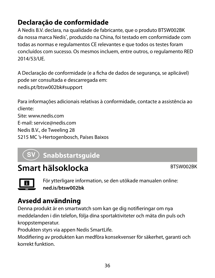## **Declaração de conformidade**

A Nedis B.V. declara, na qualidade de fabricante, que o produto BTSW002BK da nossa marca Nedis<sup>\*</sup>, produzido na China, foi testado em conformidade com todas as normas e regulamentos CE relevantes e que todos os testes foram concluídos com sucesso. Os mesmos incluem, entre outros, o regulamento RED 2014/53/UE.

A Declaração de conformidade (e a ficha de dados de segurança, se aplicável) pode ser consultada e descarregada em: nedis.pt/btsw002bk#support

Para informações adicionais relativas à conformidade, contacte a assistência ao cliente: Site: www.nedis.com E-mail: service@nedis.com Nedis B.V., de Tweeling 28 5215 MC 's-Hertogenbosch, Países Baixos

## $({\mathsf{sv}})$  Snabbstartsguide

## **Smart hälsoklocka** BTSW002BK



För ytterligare information, se den utökade manualen online: **ned.is/btsw002bk**

#### **Avsedd användning**

Denna produkt är en smartwatch som kan ge dig notifieringar om nya meddelanden i din telefon, följa dina sportaktiviteter och mäta din puls och kroppstemperatur.

Produkten styrs via appen Nedis SmartLife.

Modifiering av produkten kan medföra konsekvenser för säkerhet, garanti och korrekt funktion.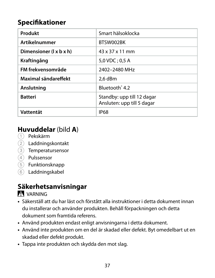# **Specifikationer**

| Produkt                 | Smart hälsoklocka                                        |
|-------------------------|----------------------------------------------------------|
| Artikelnummer           | BTSW002BK                                                |
| Dimensioner (I x b x h) | 43 x 37 x 11 mm                                          |
| Kraftingång             | $5.0$ VDC: 0.5 A                                         |
| FM frekvensområde       | 2402-2480 MHz                                            |
| Maximal sändareffekt    | 2.6 dBm                                                  |
| Anslutning              | Bluetooth <sup>*</sup> 4.2                               |
| <b>Batteri</b>          | Standby: upp till 12 dagar<br>Ansluten: upp till 5 dagar |
| Vattentät               | <b>IP68</b>                                              |

#### **Huvuddelar** (bild **A**)

- 1 Pekskärm
- 2 Laddningskontakt
- 3 Temperatursensor
- (4) Pulssensor
- 5 Funktionsknapp
- 6 Laddningskabel

# **Säkerhetsanvisningar**

#### **N** VARNING

- **•** Säkerställ att du har läst och förstått alla instruktioner i detta dokument innan du installerar och använder produkten. Behåll förpackningen och detta dokument som framtida referens.
- **•** Använd produkten endast enligt anvisningarna i detta dokument.
- **•** Använd inte produkten om en del är skadad eller defekt. Byt omedelbart ut en skadad eller defekt produkt.
- **•** Tappa inte produkten och skydda den mot slag.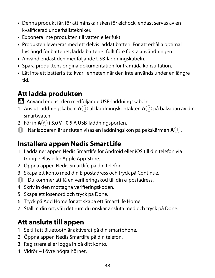- **•** Denna produkt får, för att minska risken för elchock, endast servas av en kvalificerad underhållstekniker.
- **•** Exponera inte produkten till vatten eller fukt.
- **•** Produkten levereras med ett delvis laddat batteri. För att erhålla optimal livslängd för batteriet, ladda batteriet fullt före första användningen.
- **•** Använd endast den medföljande USB-laddningskabeln.
- **•** Spara produktens originaldokumentation för framtida konsultation.
- **•** Låt inte ett batteri sitta kvar i enheten när den inte används under en längre tid.

#### **Att ladda produkten**

-Använd endast den medföljande USB-laddningskabeln.

- 1. Anslut laddningskabeln **A**6 till laddningskontakten **A**2 på baksidan av din smartwatch.
- 2. För in **A**6 i 5,0 V 0,5 A USB-laddningsporten.
- 4 När laddaren är ansluten visas en laddningsikon på pekskärmen **A**1.

#### **Installera appen Nedis SmartLife**

- 1. Ladda ner appen Nedis Smartlife för Android eller iOS till din telefon via Google Play eller Apple App Store.
- 2. Öppna appen Nedis Smartlife på din telefon.
- 3. Skapa ett konto med din E-postadress och tryck på Continue.
- 4 Du kommer att få en verifieringskod till din e-postadress.
- 4. Skriv in den mottagna verifieringskoden.
- 5. Skapa ett lösenord och tryck på Done.
- 6. Tryck på Add Home för att skapa ett SmartLife Home.
- 7. Ställ in din ort, välj det rum du önskar ansluta med och tryck på Done.

#### **Att ansluta till appen**

- 1. Se till att Bluetooth är aktiverat på din smartphone.
- 2. Öppna appen Nedis Smartlife på din telefon.
- 3. Registrera eller logga in på ditt konto.
- 4. Vidrör + i övre högra hörnet.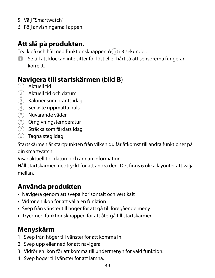- 5. Välj "Smartwatch"
- 6. Följ anvisningarna i appen.

# **Att slå på produkten.**

Tryck på och håll ned funktionsknappen **A**5 i 3 sekunder.

4 Se till att klockan inte sitter för löst eller hårt så att sensorerna fungerar korrekt.

#### **Navigera till startskärmen** (bild **B**)

- 1 Aktuell tid
- 2 Aktuell tid och datum
- 3 Kalorier som bränts idag
- 4 Senaste uppmätta puls
- 5 Nuvarande väder
- 6 Omgivningstemperatur
- 7 Sträcka som färdats idag
- 8 Tagna steg idag

Startskärmen är startpunkten från vilken du får åtkomst till andra funktioner på din smartwatch.

Visar aktuell tid, datum och annan information.

Håll startskärmen nedtryckt för att ändra den. Det finns 6 olika layouter att välja mellan.

# **Använda produkten**

- **•** Navigera genom att svepa horisontalt och vertikalt
- **•** Vidrör en ikon för att välja en funktion
- **•** Svep från vänster till höger för att gå till föregående meny
- **•** Tryck ned funktionsknappen för att återgå till startskärmen

# **Menyskärm**

- 1. Svep från höger till vänster för att komma in.
- 2. Svep upp eller ned för att navigera.
- 3. Vidrör en ikon för att komma till undermenyn för vald funktion.
- 4. Svep höger till vänster för att lämna.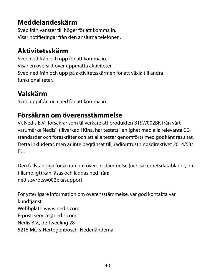#### **Meddelandeskärm**

Svep från vänster till höger för att komma in. Visar notifieringar från den anslutna telefonen.

#### **Aktivitetsskärm**

Svep nedifrån och upp för att komma in. Visar en översikt över uppmätta aktiviteter. Svep nedifrån och upp på aktivitetsskärmen för att växla till andra funktionaliteter.

# **Valskärm**

Svep uppifrån och ned för att komma in.

# **Försäkran om överensstämmelse**

Vi, Nedis B.V., försäkrar som tillverkare att produkten BTSW002BK från vårt varumärke Nedis', tillverkad i Kina, har testats i enlighet med alla relevanta CEstandarder och föreskrifter och att alla tester genomförts med godkänt resultat. Detta inkluderar, men är inte begränsat till, radioutrustningsdirektivet 2014/53/ EU.

Den fullständiga försäkran om överensstämmelse (och säkerhetsdatabladet, om tillämpligt) kan läsas och laddas ned från: nedis.sv/btsw002bk#support

För ytterligare information om överensstämmelse, var god kontakta vår kundtiänst: Webbplats: www.nedis.com E-post: service@nedis.com Nedis B.V., de Tweeling 28 5215 MC 's-Hertogenbosch, Nederländerna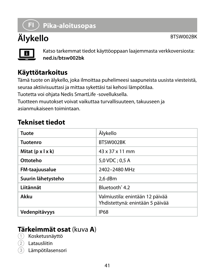# g **Pika-aloitusopas**

# **Älykello** BTSW002BK



Katso tarkemmat tiedot käyttöoppaan laajemmasta verkkoversiosta: **ned.is/btsw002bk**

# **Käyttötarkoitus**

Tämä tuote on älykello, joka ilmoittaa puhelimeesi saapuneista uusista viesteistä, seuraa aktiivisuuttasi ja mittaa sykettäsi tai kehosi lämpötilaa.

Tuotetta voi ohjata Nedis SmartLife -sovelluksella.

Tuotteen muutokset voivat vaikuttaa turvallisuuteen, takuuseen ja asianmukaiseen toimintaan.

#### **Tekniset tiedot**

| Tuote                         | Älykello                                                           |
|-------------------------------|--------------------------------------------------------------------|
| Tuotenro                      | BTSW002BK                                                          |
| Mitat $(p \times l \times k)$ | 43 x 37 x 11 mm                                                    |
| Ottoteho                      | 5.0 VDC: 0.5 A                                                     |
| FM-taajuusalue                | 2402-2480 MHz                                                      |
| Suurin lähetysteho            | 2.6 dBm                                                            |
| Liitännät                     | Bluetooth <sup>®</sup> 4.2                                         |
| Akku                          | Valmiustila: enintään 12 päivää<br>Yhdistettynä: enintään 5 päivää |
| Vedenpitävyys                 | <b>IP68</b>                                                        |

#### **Tärkeimmät osat** (kuva **A**)

- 1 Kosketusnäyttö
- 2 Latausliitin
- **Lämpötilasensori**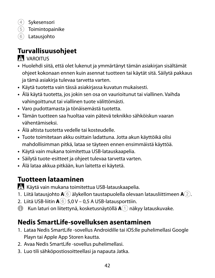(4) Sykesensori

- 5 Toimintopainike
- 6 Latausjohto

# **Turvallisuusohjeet**

#### **N** VAROITUS

- **•** Huolehdi siitä, että olet lukenut ja ymmärtänyt tämän asiakirjan sisältämät ohjeet kokonaan ennen kuin asennat tuotteen tai käytät sitä. Säilytä pakkaus ja tämä asiakirja tulevaa tarvetta varten.
- **•** Käytä tuotetta vain tässä asiakirjassa kuvatun mukaisesti.
- **•** Älä käytä tuotetta, jos jokin sen osa on vaurioitunut tai viallinen. Vaihda vahingoittunut tai viallinen tuote välittömästi.
- **•** Varo pudottamasta ja tönäisemästä tuotetta.
- **•** Tämän tuotteen saa huoltaa vain pätevä teknikko sähköiskun vaaran vähentämiseksi.
- **•** Älä altista tuotetta vedelle tai kosteudelle.
- **•** Tuote toimitetaan akku osittain ladattuna. Jotta akun käyttöikä olisi mahdollisimman pitkä, lataa se täyteen ennen ensimmäistä käyttöä.
- **•** Käytä vain mukana toimitettua USB-latauskaapelia.
- **•** Säilytä tuote-esitteet ja ohjeet tulevaa tarvetta varten.
- **•** Älä lataa akkua pitkään, kun laitetta ei käytetä.

# **Tuotteen lataaminen**

-Käytä vain mukana toimitettua USB-latauskaapelia.

- 1. Liitä latausjohto **A**6 älykellon taustapuolella olevaan latausliittimeen **A**2.
- 2. Liitä USB-liitin **A**6 5,0 V 0,5 A USB-latausporttiin.
- 4 Kun laturi on liitettynä, kosketusnäytöllä **A**1 näkyy latauskuvake.

# **Nedis SmartLife-sovelluksen asentaminen**

- 1. Lataa Nedis SmartLife -sovellus Androidille tai iOS:lle puhelimellasi Google Playn tai Apple App Storen kautta.
- 2. Avaa Nedis SmartLife -sovellus puhelimellasi.
- 3. Luo tili sähköpostiosoitteellasi ja napauta Jatka.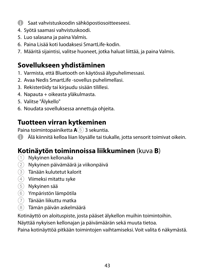- **4 Saat vahvistuskoodin sähköpostiosoitteeseesi.**
- 4. Syötä saamasi vahvistuskoodi.
- 5. Luo salasana ja paina Valmis.
- 6. Paina Lisää koti luodaksesi SmartLife-kodin.
- 7. Määritä sijaintisi, valitse huoneet, jotka haluat liittää, ja paina Valmis.

# **Sovellukseen yhdistäminen**

- 1. Varmista, että Bluetooth on käytössä älypuhelimessasi.
- 2. Avaa Nedis SmartLife -sovellus puhelimellasi.
- 3. Rekisteröidy tai kirjaudu sisään tilillesi.
- 4. Napauta + oikeasta yläkulmasta.
- 5. Valitse "Älykello"
- 6. Noudata sovelluksessa annettuja ohjeita.

#### **Tuotteen virran kytkeminen**

Paina toimintopainiketta **A**5 3 sekuntia.

4 Älä kiinnitä kelloa liian löysälle tai tiukalle, jotta sensorit toimivat oikein.

# **Kotinäytön toiminnoissa liikkuminen** (kuva **B**)

- 1 Nykyinen kellonaika
- $\Omega$  Nykyinen päivämäärä ja viikonpäivä
- 3 Tänään kulutetut kalorit
- $\left( \widehat{4}\right)$  Viimeksi mitattu syke
- 5 Nykyinen sää
- 6 Ympäristön lämpötila
- 7 Tänään liikuttu matka
- 8 Tämän päivän askelmäärä

Kotinäyttö on aloituspiste, josta pääset älykellon muihin toimintoihin.

Näyttää nykyisen kellonajan ja päivämäärän sekä muuta tietoa.

Paina kotinäyttöä pitkään toimintojen vaihtamiseksi. Voit valita 6 näkymästä.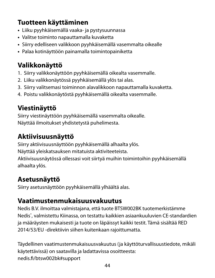# **Tuotteen käyttäminen**

- **•** Liiku pyyhkäisemällä vaaka- ja pystysuunnassa
- **•** Valitse toiminto napauttamalla kuvaketta
- **•** Siirry edelliseen valikkoon pyyhkäisemällä vasemmalta oikealle
- **•** Palaa kotinäyttöön painamalla toimintopainiketta

# **Valikkonäyttö**

- 1. Siirry valikkonäyttöön pyyhkäisemällä oikealta vasemmalle.
- 2. Liiku valikkonäytössä pyyhkäisemällä ylös tai alas.
- 3. Siirry valitsemasi toiminnon alavalikkoon napauttamalla kuvaketta.
- 4. Poistu valikkonäytöstä pyyhkäisemällä oikealta vasemmalle.

# **Viestinäyttö**

Siirry viestinäyttöön pyyhkäisemällä vasemmalta oikealle. Näyttää ilmoitukset yhdistetystä puhelimesta.

# **Aktiivisuusnäyttö**

Siirry aktiivisuusnäyttöön pyyhkäisemällä alhaalta ylös. Näyttää yleiskatsauksen mitatuista aktiviteeteista. Aktiivisuusnäytössä ollessasi voit siirtyä muihin toimintoihin pyyhkäisemällä alhaalta ylös.

# **Asetusnäyttö**

Siirry asetusnäyttöön pyyhkäisemällä ylhäältä alas.

# **Vaatimustenmukaisuusvakuutus**

Nedis B.V. ilmoittaa valmistajana, että tuote BTSW002BK tuotemerkistämme Nedis<sup>\*</sup>, valmistettu Kiinassa, on testattu kaikkien asiaankuuluvien CE-standardien ja määräysten mukaisesti ja tuote on läpäissyt kaikki testit. Tämä sisältää RED 2014/53/EU -direktiivin siihen kuitenkaan rajoittumatta.

Täydellinen vaatimustenmukaisuusvakuutus (ja käyttöturvallisuustiedote, mikäli käytettävissä) on saatavilla ja ladattavissa osoitteesta: nedis.fi/btsw002bk#support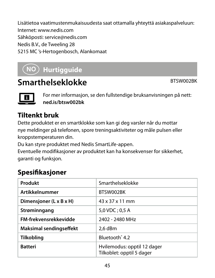Lisätietoa vaatimustenmukaisuudesta saat ottamalla yhteyttä asiakaspalveluun: Internet: www.nedis.com Sähköposti: service@nedis.com Nedis B.V., de Tweeling 28 5215 MC 's-Hertogenbosch, Alankomaat

# f **Hurtigguide**

# **Smarthelseklokke** BTSW002BK



For mer informasjon, se den fullstendige bruksanvisningen på nett: **ned.is/btsw002bk**

# **Tiltenkt bruk**

Dette produktet er en smartklokke som kan gi deg varsler når du mottar nye meldinger på telefonen, spore treningsaktiviteter og måle pulsen eller kroppstemperaturen din.

Du kan styre produktet med Nedis SmartLife-appen.

Eventuelle modifikasjoner av produktet kan ha konsekvenser for sikkerhet, garanti og funksjon.

# **Spesifikasjoner**

| Produkt                 | Smarthelseklokke                                         |
|-------------------------|----------------------------------------------------------|
| Artikkelnummer          | BTSW002BK                                                |
| Dimensjoner (L x B x H) | 43 x 37 x 11 mm                                          |
| Strøminngang            | $5.0$ VDC: 0.5 A                                         |
| FM-frekvensrekkevidde   | 2402 - 2480 MHz                                          |
| Maksimal sendingseffekt | $2.6$ dBm                                                |
| Tilkobling              | Bluetooth <sup>*</sup> 4.2                               |
| <b>Batteri</b>          | Hvilemodus: opptil 12 dager<br>Tilkoblet: opptil 5 dager |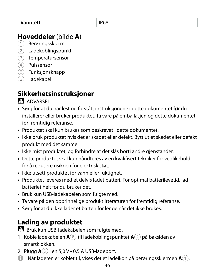#### **Hoveddeler** (bilde **A**)

- 1 Berøringsskjerm
- 2 Ladekoblingspunkt
- 3 Temperatursensor
- 4 Pulssensor
- 5 Funksjonsknapp
- 6 Ladekabel

# **Sikkerhetsinstruksjoner**

**ADVARSEL** 

- **•** Sørg for at du har lest og forstått instruksjonene i dette dokumentet før du installerer eller bruker produktet. Ta vare på emballasjen og dette dokumentet for fremtidig referanse.
- **•** Produktet skal kun brukes som beskrevet i dette dokumentet.
- **•** Ikke bruk produktet hvis det er skadet eller defekt. Bytt ut et skadet eller defekt produkt med det samme.
- **•** Ikke mist produktet, og forhindre at det slås borti andre gjenstander.
- **•** Dette produktet skal kun håndteres av en kvalifisert tekniker for vedlikehold for å redusere risikoen for elektrisk støt.
- **•** Ikke utsett produktet for vann eller fuktighet.
- **•** Produktet leveres med et delvis ladet batteri. For optimal batterilevetid, lad batteriet helt før du bruker det.
- **•** Bruk kun USB-ladekabelen som fulgte med.
- **•** Ta vare på den opprinnelige produktlitteraturen for fremtidig referanse.
- **•** Sørg for at du ikke lader et batteri for lenge når det ikke brukes.

# **Lading av produktet**

Bruk kun USB-ladekabelen som fulgte med.

- 1. Koble ladekabelen **A**6 til ladekoblingspunktet **A**2 på baksiden av smartklokken.
- 2. Plugg **A**6 i en 5,0 V 0,5 A USB-ladeport.
- 4 Når laderen er koblet til, vises det et ladeikon på berøringsskjermen **A**1.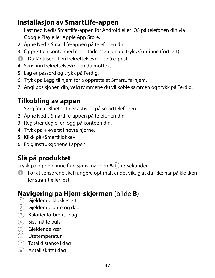#### **Installasjon av SmartLife-appen**

- 1. Last ned Nedis Smartlife-appen for Android eller iOS på telefonen din via Google Play eller Apple App Store.
- 2. Åpne Nedis Smartlife-appen på telefonen din.
- 3. Opprett en konto med e-postadressen din og trykk Continue (fortsett).
- 4 Du får tilsendt en bekreftelseskode på e-post.
- 4. Skriv inn bekreftelseskoden du mottok.
- 5. Lag et passord og trykk på Ferdig.
- 6. Trykk på Legg til hjem for å opprette et SmartLife-hjem.
- 7. Angi posisjonen din, velg rommene du vil koble sammen og trykk på Ferdig.

#### **Tilkobling av appen**

- 1. Sørg for at Bluetooth er aktivert på smarttelefonen.
- 2. Åpne Nedis Smartlife-appen på telefonen din.
- 3. Registrer deg eller logg på kontoen din.
- 4. Trykk på + øverst i høyre hjørne.
- 5. Klikk på «Smartklokke»
- 6. Følg instruksjonene i appen.

# **Slå på produktet**

Trykk på og hold inne funksjonsknappen **A**5 i 3 sekunder.

4 For at sensorene skal fungere optimalt er det viktig at du ikke har på klokken for stramt eller løst.

# **Navigering på Hjem-skjermen** (bilde **B**)

- 1 Gjeldende klokkeslett
- 2 Gjeldende dato og dag
- 3 Kalorier forbrent i dag
- (4) Sist målte puls
- 5 Gjeldende vær
- 6 Utetemperatur
- $(7)$  Total distanse i dag
- 8 Antall skritt i dag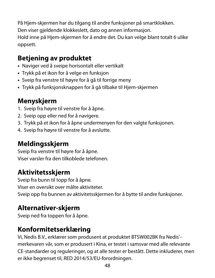På Hjem-skjermen har du tilgang til andre funksjoner på smartklokken. Den viser gjeldende klokkeslett, dato og annen informasjon. Hold inne på Hjem-skjermen for å endre det. Du kan velge blant totalt 6 ulike oppsett.

#### **Betjening av produktet**

- **•** Naviger ved å sveipe horisontalt eller vertikalt
- **•** Trykk på et ikon for å velge en funksjon
- **•** Sveip fra venstre til høyre for å gå til forrige meny
- **•** Trykk på funksjonsknappen for å gå tilbake til Hjem-skjermen

# **Menyskjerm**

- 1. Sveip fra høyre til venstre for å åpne.
- 2. Sveip opp eller ned for å navigere.
- 3. Trykk på et ikon for å åpne undermenyen for den valgte funksjonen.
- 4. Sveip fra høyre til venstre for å avslutte.

# **Meldingsskjerm**

Sveip fra venstre til høyre for å åpne. Viser varsler fra den tilkoblede telefonen.

# **Aktivitetsskjerm**

Sveip fra bunn til topp for å åpne. Viser en oversikt over målte aktiviteter. Sveip opp fra bunnen av aktivitetsskjermen for å bytte til andre funksjoner.

# **Alternativer-skjerm**

Sveip ned fra toppen for å åpne.

# **Konformitetserklæring**

Vi, Nedis B.V., erklærer som produsent at produktet BTSW002BK fra Nedis<sup>\*</sup>merkevaren vår, som er produsert i Kina, er testet i samsvar med alle relevante CE-standarder og reguleringer, og at alle tester er bestått. Dette inkluderer, men er ikke begrenset til, RED 2014/53/EU-forordningen.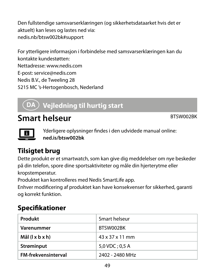Den fullstendige samsvarserklæringen (og sikkerhetsdataarket hvis det er aktuelt) kan leses og lastes ned via: nedis.nb/btsw002bk#support

For ytterligere informasjon i forbindelse med samsvarserklæringen kan du kontakte kundestøtten: Nettadresse: www.nedis.com E-post: service@nedis.com Nedis B.V., de Tweeling 28 5215 MC 's-Hertogenbosch, Nederland

# 2 **Vejledning til hurtig start**

# **Smart helseur** BTSW002BK



Yderligere oplysninger findes i den udvidede manual online: **ned.is/btsw002bk**

# **Tilsigtet brug**

Dette produkt er et smartwatch, som kan give dig meddelelser om nye beskeder på din telefon, spore dine sportsaktiviteter og måle din hjerterytme eller kropstemperatur.

Produktet kan kontrolleres med Nedis SmartLife app.

Enhver modificering af produktet kan have konsekvenser for sikkerhed, garanti og korrekt funktion.

#### **Specifikationer**

| Produkt                    | Smart helseur               |
|----------------------------|-----------------------------|
| Varenummer                 | BTSW002BK                   |
| Mål (  x b x h)            | $43 \times 37 \times 11$ mm |
| Strøminput                 | 5,0 VDC ; 0,5 A             |
| <b>FM-frekvensinterval</b> | 2402 - 2480 MHz             |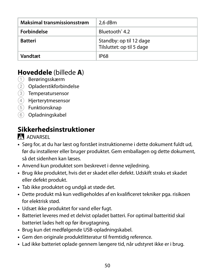| Maksimal transmissionsstrøm | $2.6$ dBm                                            |
|-----------------------------|------------------------------------------------------|
| Forbindelse                 | Bluetooth <sup>*</sup> 4.2                           |
| <b>Batteri</b>              | Standby: op til 12 dage<br>Tilsluttet: op til 5 dage |
| Vandtæt                     | <b>IP68</b>                                          |

#### **Hoveddele** (billede **A**)

- 1 Berøringsskærm
- 2 Opladerstikforbindelse
- 3 Temperatursensor
- 4 Hjerterytmesensor
- 5 Funktionsknap
- 6 Opladningskabel

#### **Sikkerhedsinstruktioner**

#### **ADVARSEL**

- **•** Sørg for, at du har læst og forstået instruktionerne i dette dokument fuldt ud, før du installerer eller bruger produktet. Gem emballagen og dette dokument, så det sidenhen kan læses.
- **•** Anvend kun produktet som beskrevet i denne vejledning.
- **•** Brug ikke produktet, hvis det er skadet eller defekt. Udskift straks et skadet eller defekt produkt.
- **•** Tab ikke produktet og undgå at støde det.
- **•** Dette produkt må kun vedligeholdes af en kvalificeret tekniker pga. risikoen for elektrisk stød.
- **•** Udsæt ikke produktet for vand eller fugt.
- **•** Batteriet leveres med et delvist opladet batteri. For optimal batteritid skal batteriet lades helt op før ibrugtagning.
- **•** Brug kun det medfølgende USB-opladningskabel.
- **•** Gem den originale produktlitteratur til fremtidig reference.
- **•** Lad ikke batteriet oplade gennem længere tid, når udstyret ikke er i brug.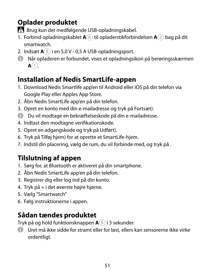# **Oplader produktet**

-Brug kun det medfølgende USB-opladningskabel.

- 1. Forbind opladningskablet **A**6 til opladerstikforbindelsen **A**2 bag på dit smartwatch.
- 2. Indsæt **A**6 i en 5,0 V 0,5 A USB-opladningsport.
- 4 Når opladeren er forbundet, vises et opladningsikon på berøringsskærmen  $A(1)$ .

#### **Installation af Nedis SmartLife-appen**

- 1. Download Nedis Smartlife app'en til Android eller iOS på din telefon via Google Play eller Apples App Store.
- 2. Åbn Nedis SmartLife app'en på din telefon.
- 3. Opret en konto med din e-mailadresse og tryk på Fortsæt).
- 4 Du vil modtage en bekræftelseskode på din e-mailadresse.
- 4. Indtast den modtagne verifikationskode.
- 5. Opret en adgangskode og tryk på Udført).
- 6. Tryk på Tilføj hjem) for at oprette et SmartLife-hjem.
- 7. Indstil din placering, vælg de rum, du vil forbinde med, og tryk på .

# **Tilslutning af appen**

- 1. Sørg for, at Bluetooth er aktiveret på din smartphone.
- 2. Åbn Nedis SmartLife app'en på din telefon.
- 3. Registrer dig eller log ind på din konto.
- 4. Tryk på + i det øverste højre hjørne.
- 5. Vælg "Smartwatch"
- 6. Følg instruktionerne i appen.

# **Sådan tændes produktet**

Tryk på og hold funktionsknappen **A**5 i 3 sekunder.

4 Uret må ikke sidde for stramt eller for løst, ellers kan sensorerne ikke virke ordentligt.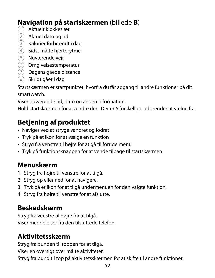#### **Navigation på startskærmen** (billede **B**)

- 1 Aktuelt klokkeslæt
- 2 Aktuel dato og tid
- 3 Kalorier forbrændt i dag
- $(4)$  Sidst målte hjerterytme
- 5 Nuværende vejr
- 6 Omgivelsestemperatur
- 7 Dagens gåede distance
- 8 Skridt gået i dag

Startskærmen er startpunktet, hvorfra du får adgang til andre funktioner på dit smartwatch.

Viser nuværende tid, dato og anden information.

Hold startskærmen for at ændre den. Der er 6 forskellige udseender at vælge fra.

# **Betjening af produktet**

- **•** Naviger ved at stryge vandret og lodret
- **•** Tryk på et ikon for at vælge en funktion
- **•** Stryg fra venstre til højre for at gå til forrige menu
- **•** Tryk på funktionsknappen for at vende tilbage til startskærmen

#### **Menuskærm**

- 1. Stryg fra højre til venstre for at tilgå.
- 2. Stryg op eller ned for at navigere.
- 3. Tryk på et ikon for at tilgå undermenuen for den valgte funktion.
- 4. Stryg fra højre til venstre for at afslutte.

#### **Beskedskærm**

Stryg fra venstre til højre for at tilgå. Viser meddelelser fra den tilsluttede telefon.

#### **Aktivitetsskærm**

Stryg fra bunden til toppen for at tilgå. Viser en oversigt over målte aktiviteter.

Stryg fra bund til top på aktivitetsskærmen for at skifte til andre funktioner.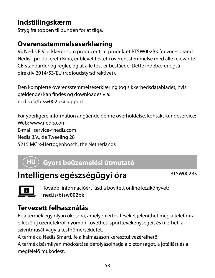#### **Indstillingskærm**

Stryg fra toppen til bunden for at tilgå.

# **Overensstemmelseserklæring**

Vi, Nedis B.V. erklærer som producent, at produktet BTSW002BK fra vores brand Nedis<sup>®</sup>, produceret i Kina, er blevet testet i overensstemmelse med alle relevante CE-standarder og regler, og at alle test er beståede. Dette indebærer også direktiv 2014/53/EU (radioudstyrsdirektivet).

Den komplette overensstemmelseserklæring (og sikkerhedsdatabladet, hvis gældende) kan findes og downloades via: nedis.da/btsw002bk#support

For yderligere information angående denne overholdelse, kontakt kundeservice: Web: www.nedis.com E-mail: service@nedis.com Nedis B.V., de Tweeling 28 5215 MC 's-Hertogenbosch, the Netherlands

# k **Gyors beüzemelési útmutató**

# **Intelligens egészségügyi óra** BTSW002BK



További információért lásd a bővített online kézikönyvet: **ned.is/btsw002bk**

# **Tervezett felhasználás**

Ez a termék egy olyan okosóra, amelyen értesítéseket jeleníthet meg a telefonra érkező új üzenetekről, nyomon követheti sporttevékenységeit és mérheti a szívritmusát vagy a testhőmérsékletét.

A termék a Nedis SmartLife alkalmazáson keresztül vezérelhető.

A termék bármilyen módosítása befolyásolhatja a biztonságot, a jótállást és a megfelelő működést.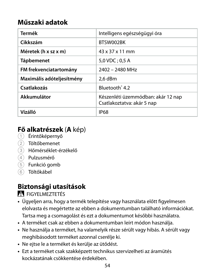#### **Műszaki adatok**

| Termék                    | Intelligens egészségügyi óra                                     |
|---------------------------|------------------------------------------------------------------|
| Cikkszám                  | BTSW002BK                                                        |
| Méretek (h x sz x m)      | 43 x 37 x 11 mm                                                  |
| <b>Tápbemenet</b>         | $5.0$ VDC: 0.5 A                                                 |
| FM frekvenciatartomány    | 2402 - 2480 MHz                                                  |
| Maximális adóteljesítmény | 2.6 dBm                                                          |
| Csatlakozás               | Bluetooth <sup>®</sup> 4.2                                       |
| Akkumulátor               | Készenléti üzemmódban: akár 12 nap<br>Csatlakoztatva: akár 5 nap |
| Vízálló                   | <b>IP68</b>                                                      |

# **Fő alkatrészek (A** kép)<br>1 Érintőképernyő

- 
- 2 Töltőbemenet
- 3 Hőmérséklet-érzékelő
- 4 Pulzusmérő
- 5 Funkció gomb
- 6 Töltőkábel

# **Biztonsági utasítások**

**N** FIGYELMEZTETÉS

- **•** Ügyeljen arra, hogy a termék telepítése vagy használata előtt figyelmesen elolvasta és megértette az ebben a dokumentumban található információkat. Tartsa meg a csomagolást és ezt a dokumentumot későbbi használatra.
- **•** A terméket csak az ebben a dokumentumban leírt módon használja.
- **•** Ne használja a terméket, ha valamelyik része sérült vagy hibás. A sérült vagy meghibásodott terméket azonnal cserélje ki.
- **•** Ne ejtse le a terméket és kerülje az ütődést.
- **•** Ezt a terméket csak szakképzett technikus szervizelheti az áramütés kockázatának csökkentése érdekében.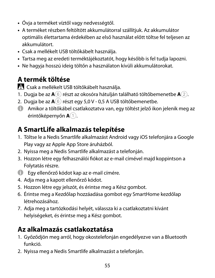- **•** Óvja a terméket víztől vagy nedvességtől.
- **•** A terméket részben feltöltött akkumulátorral szállítjuk. Az akkumulátor optimális élettartama érdekében az első használat előtt töltse fel teljesen az akkumulátort.
- **•** Csak a mellékelt USB töltőkábelt használja.
- **•** Tartsa meg az eredeti terméktájékoztatót, hogy később is fel tudja lapozni.
- **•** Ne hagyja hosszú ideig töltőn a használaton kívüli akkumulátorokat.

# **A termék töltése**

-Csak a mellékelt USB töltőkábelt használja.

- 1. Dugja be az **A**6 részt az okosóra hátulján található töltőbemenetbe **A**2.
- 2. Dugja be az **A**6 részt egy 5,0 V 0,5 A USB töltőbemenetbe.
- 4 Amikor a töltőkábel csatlakoztatva van, egy töltést jelző ikon jelenik meg az érintőképernyőn **A**1.

#### **A SmartLife alkalmazás telepítése**

- 1. Töltse le a Nedis Smartlife alkalmazást Android vagy iOS telefonjára a Google Play vagy az Apple App Store áruházból.
- 2. Nyissa meg a Nedis Smartlife alkalmazást a telefonján.
- 3. Hozzon létre egy felhasználói fiókot az e-mail címével majd koppintson a Folytatás részre.
- 4 Egy ellenőrző kódot kap az e-mail címére.
- 4. Adja meg a kapott ellenőrző kódot.
- 5. Hozzon létre egy jelszót, és érintse meg a Kész gombot.
- 6. Érintse meg a Kezdőlap hozzáadása gombot egy SmartHome kezdőlap létrehozásához.
- 7. Adja meg a tartózkodási helyét, válassza ki a csatlakoztatni kívánt helyiségeket, és érintse meg a Kész gombot.

# **Az alkalmazás csatlakoztatása**

- 1. Győződjön meg arról, hogy okostelefonján engedélyezve van a Bluetooth funkció.
- 2. Nyissa meg a Nedis Smartlife alkalmazást a telefonján.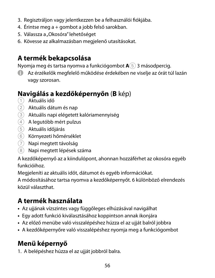- 3. Regisztráljon vagy jelentkezzen be a felhasználói fiókjába.
- 4. Érintse meg a + gombot a jobb felső sarokban.
- 5. Válassza a "Okosóra" lehetőséget
- 6. Kövesse az alkalmazásban megjelenő utasításokat.

#### **A termék bekapcsolása**

Nyomja meg és tartsa nyomva a funkciógombot **A**5 3 másodpercig.

4 Az érzékelők megfelelő működése érdekében ne viselje az órát túl lazán vagy szorosan.

# **Navigálás a kezdőképernyőn (B** kép)<br>① Aktuális idő

- 
- 2 Aktuális dátum és nap
- 3 Aktuális napi elégetett kalóriamennyiség
- 4 A legutóbb mért pulzus
- 5 Aktuális időjárás
- 6 Környezeti hőmérséklet
- 7 Napi megtett távolság
- 8 Napi megtett lépések száma

A kezdőképernyő az a kiindulópont, ahonnan hozzáférhet az okosóra egyéb funkcióihoz.

Megjeleníti az aktuális időt, dátumot és egyéb információkat.

A módosításához tartsa nyomva a kezdőképernyőt. 6 különböző elrendezés közül választhat.

# **A termék használata**

- **•** Az ujjának vízszintes vagy függőleges elhúzásával navigálhat
- **•** Egy adott funkció kiválasztásához koppintson annak ikonjára
- **•** Az előző menübe való visszalépéshez húzza el az ujját balról jobbra
- **•** A kezdőképernyőre való visszalépéshez nyomja meg a funkciógombot

# **Menü képernyő**

1. A belépéshez húzza el az ujját jobbról balra.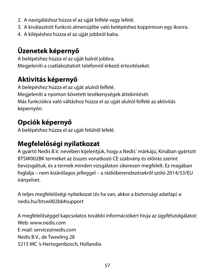- 2. A navigáláshoz húzza el az ujját felfelé vagy lefelé.
- 3. A kiválasztott funkció almenüjébe való belépéshez koppintson egy ikonra.
- 4. A kilépéshez húzza el az ujját jobbról balra.

# **Üzenetek képernyő**

A belépéshez húzza el az ujját balról jobbra. Megjeleníti a csatlakoztatott telefonról érkező értesítéseket.

# **Aktivitás képernyő**

A belépéshez húzza el az ujját alulról felfelé. Megjeleníti a nyomon követett tevékenységek áttekintését. Más funkciókra való váltáshoz húzza el az ujját alulról felfelé az aktivitás képernyőn.

# **Opciók képernyő**

A belépéshez húzza el az ujját felülről lefelé.

# **Megfelelőségi nyilatkozat**

A gyártó Nedis B.V. nevében kijelentjük, hogy a Nedis˚ márkájú, Kínában gyártott BTSW002BK terméket az összes vonatkozó CE szabvány és előírás szerint bevizsgáltuk, és a termék minden vizsgálaton sikeresen megfelelt. Ez magában foglalja – nem kizárólagos jelleggel – a rádióberendezésekről szóló 2014/53/EU irányelvet.

A teljes megfelelőségi nyilatkozat (és ha van, akkor a biztonsági adatlap) a: nedis.hu/btsw002bk#support

A megfelelőséggel kapcsolatos további információkért hívja az ügyfélszolgálatot: Web: www.nedis.com E-mail: service@nedis.com Nedis B.V., de Tweeling 28 5215 MC 's-Hertogenbosch, Hollandia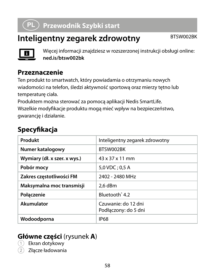# n **Przewodnik Szybki start**

# **Inteligentny zegarek zdrowotny** BTSW002BK



Więcej informacji znajdziesz w rozszerzonej instrukcji obsługi online: **ned.is/btsw002bk**

#### **Przeznaczenie**

Ten produkt to smartwatch, który powiadamia o otrzymaniu nowych wiadomości na telefon, śledzi aktywność sportową oraz mierzy tętno lub temperaturę ciała.

Produktem można sterować za pomocą aplikacji Nedis SmartLife. Wszelkie modyfikacje produktu mogą mieć wpływ na bezpieczeństwo, gwarancję i działanie.

#### **Specyfikacja**

| Produkt                      | Inteligentny zegarek zdrowotny              |
|------------------------------|---------------------------------------------|
| Numer katalogowy             | BTSW002BK                                   |
| Wymiary (dł. x szer. x wys.) | 43 x 37 x 11 mm                             |
| Pobór mocy                   | $5.0$ VDC: 0.5 A                            |
| Zakres czestotliwości FM     | 2402 - 2480 MHz                             |
| Maksymalna moc transmisji    | 2.6 dBm                                     |
| Połaczenie                   | Bluetooth <sup>®</sup> 4.2                  |
| Akumulator                   | Czuwanie: do 12 dni<br>Podłaczony: do 5 dni |
| Wodoodporna                  | <b>IP68</b>                                 |

#### **Główne części** (rysunek **A**)

Ekran dotykowy

2 Złącze ładowania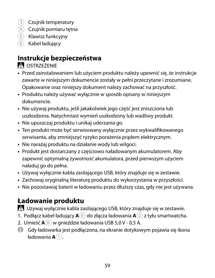- 3 Czujnik temperatury
- 4 Czujnik pomiaru tętna
- 5 Klawisz funkcyjny
- 6 Kabel ładujący

# **Instrukcje bezpieczeństwa**

**N**OSTRZEŻENIE

- **•** Przed zainstalowaniem lub użyciem produktu należy upewnić się, że instrukcje zawarte w niniejszym dokumencie zostały w pełni przeczytane i zrozumiane. Opakowanie oraz niniejszy dokument należy zachować na przyszłość.
- **•** Produktu należy używać wyłącznie w sposób opisany w niniejszym dokumencie.
- **•** Nie używaj produktu, jeśli jakakolwiek jego część jest zniszczona lub uszkodzona. Natychmiast wymień uszkodzony lub wadliwy produkt.
- **•** Nie upuszczaj produktu i unikaj uderzania go.
- **•** Ten produkt może być serwisowany wyłącznie przez wykwalifikowanego serwisanta, aby zmniejszyć ryzyko porażenia prądem elektrycznym.
- **•** Nie narażaj produktu na działanie wody lub wilgoci.
- **•** Produkt jest dostarczany z częściowo naładowanym akumulatorem. Aby zapewnić optymalną żywotność akumulatora, przed pierwszym użyciem naładuj go do pełna.
- **•** Używaj wyłącznie kabla zasilającego USB, który znajduje się w zestawie.
- **•** Zachowaj oryginalną literaturę produktu do wykorzystania w przyszłości.
- **•** Nie pozostawiaj baterii w ładowaniu przez dłuższy czas, gdy nie jest używana.

# **Ładowanie produktu**

-Używaj wyłącznie kabla zasilającego USB, który znajduje się w zestawie.

- 1. Podłącz kabel ładujący **A**6 do złącza ładowania **A**2 z tyłu smartwatcha.
- 2. Umieść  $\mathbf{A}(\widehat{\mathbf{6}})$  w gnieździe ładowania USB 5.0 V 0.5 A.
- 4 Gdy ładowarka jest podłączona, na ekranie dotykowym pojawia się ikona ładowania **A**1.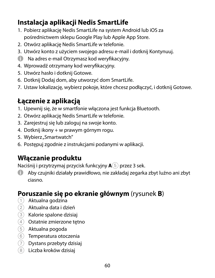# **Instalacja aplikacji Nedis SmartLife**

- 1. Pobierz aplikację Nedis SmartLife na system Android lub iOS za pośrednictwem sklepu Google Play lub Apple App Store.
- 2. Otwórz aplikację Nedis SmartLife w telefonie.
- 3. Utwórz konto z użyciem swojego adresu e-mail i dotknij Kontynuuj.
- 4 Na adres e-mail Otrzymasz kod weryfikacyjny.
- 4. Wprowadź otrzymany kod weryfikacyjny.
- 5. Utwórz hasło i dotknij Gotowe.
- 6. Dotknij Dodaj dom, aby utworzyć dom SmartLife.
- 7. Ustaw lokalizację, wybierz pokoje, które chcesz podłączyć, i dotknij Gotowe.

# **Łączenie z aplikacją**

- 1. Upewnij się, że w smartfonie włączona jest funkcja Bluetooth.
- 2. Otwórz aplikację Nedis SmartLife w telefonie.
- 3. Zarejestruj się lub zaloguj na swoje konto.
- 4. Dotknij ikony + w prawym górnym rogu.
- 5. Wybierz "Smartwatch"
- 6. Postępuj zgodnie z instrukcjami podanymi w aplikacji.

# **Włączanie produktu**

Naciśnij i przytrzymaj przycisk funkcyjny **A**5 przez 3 sek.

4 Aby czujniki działały prawidłowo, nie zakładaj zegarka zbyt luźno ani zbyt ciasno.

# **Poruszanie się po ekranie głównym** (rysunek **B**)

- $(1)$  Aktualna godzina
- 2 Aktualna data i dzień
- 3 Kalorie spalone dzisiaj
- 4 Ostatnie zmierzone tętno
- 5 Aktualna pogoda
- 6 Temperatura otoczenia
- 7 Dystans przebyty dzisiaj
- 8 Liczba kroków dzisiaj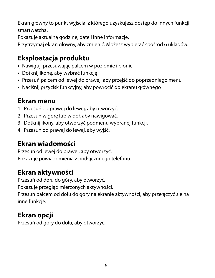Ekran główny to punkt wyjścia, z którego uzyskujesz dostęp do innych funkcji smartwatcha.

Pokazuje aktualną godzinę, datę i inne informacje.

Przytrzymaj ekran główny, aby zmienić. Możesz wybierać spośród 6 układów.

# **Eksploatacja produktu**

- **•** Nawiguj, przesuwając palcem w poziomie i pionie
- **•** Dotknij ikonę, aby wybrać funkcję
- **•** Przesuń palcem od lewej do prawej, aby przejść do poprzedniego menu
- **•** Naciśnij przycisk funkcyjny, aby powrócić do ekranu głównego

#### **Ekran menu**

- 1. Przesuń od prawej do lewej, aby otworzyć.
- 2. Przesuń w górę lub w dół, aby nawigować.
- 3. Dotknij ikony, aby otworzyć podmenu wybranej funkcji.
- 4. Przesuń od prawej do lewej, aby wyjść.

# **Ekran wiadomości**

Przesuń od lewej do prawej, aby otworzyć. Pokazuje powiadomienia z podłączonego telefonu.

# **Ekran aktywności**

Przesuń od dołu do góry, aby otworzyć. Pokazuje przegląd mierzonych aktywności. Przesuń palcem od dołu do góry na ekranie aktywności, aby przełączyć się na inne funkcje.

# **Ekran opcji**

Przesuń od góry do dołu, aby otworzyć.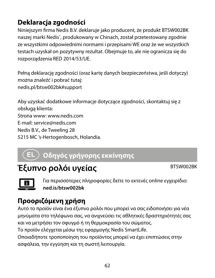# **Deklaracja zgodności**

Niniejszym firma Nedis B.V. deklaruje jako producent, że produkt BTSW002BK naszej marki Nedis<sup>\*</sup>, produkowany w Chinach, został przetestowany zgodnie ze wszystkimi odpowiednimi normami i przepisami WE oraz że we wszystkich testach uzyskał on pozytywny rezultat. Obejmuje to, ale nie ogranicza się do rozporządzenia RED 2014/53/UE.

Pełną deklarację zgodności (oraz kartę danych bezpieczeństwa, jeśli dotyczy) można znaleźć i pobrać tutaj: nedis.pl/btsw002bk#support

Aby uzyskać dodatkowe informacje dotyczące zgodności, skontaktuj się z obsługą klienta: Strona www: www.nedis.com E-mail: service@nedis.com Nedis B.V., de Tweeling 28 5215 MC 's-Hertogenbosch, Holandia.

# $\tt)$  Οδηγός γρήγορης εκκίνησης

# Έξυπνο ρολόι υγείας **BTSW002BK**



Για περισσότερες πληροφορίες δείτε το εκτενές online εγχειρίδιο: **ned.is/btsw002bk**

# **Προοριζόμενη χρήση**

Αυτό το προϊόν είναι ένα έξυπνο ρολόι που μπορεί να σας ειδοποιήσει για νέα μηνύματα στο τηλέφωνο σας, να ανιχνεύσει τις αθλητικές δραστηριότητές σας και να μετρήσει τον σφυγμό ή τη θερμοκρασία του σώματος. Το προϊόν ελέγχεται μέσω της εφαρμογής Nedis SmartLife.

Οποιαδήποτε τροποποίηση του προϊόντος μπορεί να έχει επιπτώσεις στην ασφάλεια, την εγγύηση και τη σωστή λειτουργία.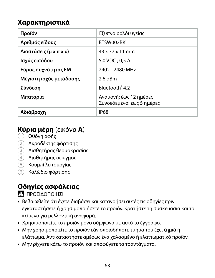#### **Χαρακτηριστικά**

| Προϊόν                  | Έξυπνο ρολόι υγείας                                 |
|-------------------------|-----------------------------------------------------|
| Αριθμός είδους          | BTSW002BK                                           |
| Διαστάσεις (μ x π x υ)  | 43 x 37 x 11 mm                                     |
| Ισχύς εισόδου           | $5.0$ VDC: 0.5 A                                    |
| Εύρος συχνότητας FM     | 2402 - 2480 MHz                                     |
| Μέγιστη ισχύς μετάδοσης | 2.6 dBm                                             |
| Σύνδεση                 | Bluetooth <sup>*</sup> 4.2                          |
| Μπαταρία                | Αναμονή: έως 12 ημέρες<br>Συνδεδεμένο: έως 5 ημέρες |
| Αδιάβροχη               | <b>IP68</b>                                         |

#### **Κύρια μέρη** (εικόνα **A**)

- 1 Οθόνη αφής
- 2 Ακροδέκτης φόρτισης
- 3 Αισθητήρας θερμοκρασίας
- 4 Αισθητήρας σφυγμού
- 5 Κουμπί λειτουργίας
- 6 Καλώδιο φόρτισης

# **Οδηγίες ασφάλειας**

-ΠΡΟΕΙΔΟΠΟΙΗΣΗ

- **•** Βεβαιωθείτε ότι έχετε διαβάσει και κατανοήσει αυτές τις οδηγίες πριν εγκαταστήσετε ή χρησιμοποιήσετε το προϊόν. Κρατήστε τη συσκευασία και το κείμενο για μελλοντική αναφορά.
- **•** Χρησιμοποιείτε το προϊόν μόνο σύμφωνα με αυτό το έγγραφο.
- **•** Μην χρησιμοποιείτε το προϊόν εάν οποιοδήποτε τμήμα του έχει ζημιά ή ελάττωμα. Αντικαταστήστε αμέσως ένα χαλασμένο ή ελαττωματικό προϊόν.
- **•** Μην ρίχνετε κάτω το προϊόν και αποφύγετε τα τραντάγματα.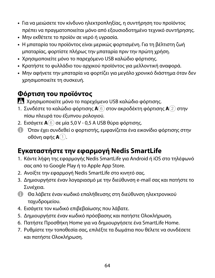- **•** Για να μειώσετε τον κίνδυνο ηλεκτροπληξίας, η συντήρηση του προϊόντος πρέπει να πραγματοποιείται μόνο από εξουσιοδοτημένο τεχνικό συντήρησης.
- **•** Μην εκθέτετε το προϊόν σε νερό ή υγρασία.
- **•** Η μπαταρία του προϊόντος είναι μερικώς φορτισμένη. Για τη βέλτιστη ζωή μπαταρίας, φορτίστε πλήρως την μπαταρία πριν την πρώτη χρήση.
- **•** Χρησιμοποιείτε μόνο το παρεχόμενο USB καλώδιο φόρτισης.
- **•** Κρατήστε το φυλλάδιο του αρχικού προϊόντος για μελλοντική αναφορά.
- **•** Μην αφήνετε την μπαταρία να φορτίζει για μεγάλο χρονικό διάστημα όταν δεν χρησιμοποιείτε τη συσκευή.

#### **Φόρτιση του προϊόντος**

-Χρησιμοποιείτε μόνο το παρεχόμενο USB καλώδιο φόρτισης.

- 1. Συνδέστε το καλώδιο φόρτισης **A**6 στον ακροδέκτη φόρτισης **A**2 στην πίσω πλευρά του έξυπνου ρολογιού.
- 2. Εισάγετε **A**6 σε μία 5,0 V 0,5 Α USB θύρα φόρτισης.
- 4 Όταν έχει συνδεθεί ο φορτιστής, εμφανίζεται ένα εικονίδιο φόρτισης στην οθόνη αφής **A**1.

# **Εγκαταστήστε την εφαρμογή Nedis SmartLife**

- 1. Κάντε λήψη της εφαρμογής Nedis SmartLife για Android ή iOS στο τηλέφωνό σας από το Google Play ή το Apple App Store.
- 2. Ανοίξτε την εφαρμογή Nedis SmartLife στο κινητό σας.
- 3. Δημιουργήστε έναν λογαριασμό με την διεύθυνση e-mail σας και πατήστε το Συνέχεια.
- 4 Θα λάβετε έναν κωδικό επαλήθευσης στη διεύθυνση ηλεκτρονικού ταχυδρομείου.
- 4. Εισάγετε τον κωδικό επιβεβαίωσης που λάβατε.
- 5. Δημιουργήστε έναν κωδικό πρόσβασης και πατήστε Ολοκλήρωση.
- 6. Πατήστε Προσθήκη Home για να δημιουργήσετε ένα SmartLife Home.
- 7. Ρυθμίστε την τοποθεσία σας, επιλέξτε τα δωμάτια που θέλετε να συνδέσετε και πατήστε Ολοκλήρωση.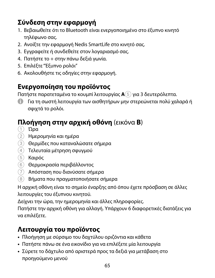# **Σύνδεση στην εφαρμογή**

- 1. Βεβαιωθείτε ότι το Bluetooth είναι ενεργοποιημένο στο έξυπνο κινητό τηλέφωνο σας.
- 2. Ανοίξτε την εφαρμογή Nedis SmartLife στο κινητό σας.
- 3. Εγγραφείτε ή συνδεθείτε στον λογαριασμό σας.
- 4. Πατήστε το + στην πάνω δεξιά γωνία.
- 5. Επιλέξτε "Έξυπνο ρολόι"
- 6. Ακολουθήστε τις οδηγίες στην εφαρμογή.

#### **Ενεργοποίηση του προϊόντος**

Πατήστε παρατεταμένα το κουμπί λειτουργίας **A**5 για 3 δευτερόλεπτα.

4 Για τη σωστή λειτουργία των αισθητήρων μην στερεώνεται πολύ χαλαρά ή σφιχτά το ρολόι.

# **Πλοήγηση στην αρχική οθόνη** (εικόνα **B**)

- $(1)$  Ώρα
- 2 Ημερομηνία και ημέρα
- 3 Θερμίδες που καταναλώσατε σήμερα
- 4 Τελευταία μέτρηση σφυγμού
- 5 Καιρός
- 6 Θερμοκρασία περιβάλλοντος
- 7 Απόσταση που διανύσατε σήμερα
- 8 Βήματα που πραγματοποιήσατε σήμερα

Η αρχική οθόνη είναι το σημείο έναρξης από όπου έχετε πρόσβαση σε άλλες λειτουργίες του έξυπνου κινητού.

Δείχνει την ώρα, την ημερομηνία και άλλες πληροφορίες.

Πατήστε την αρχική οθόνη για αλλαγή. Υπάρχουν 6 διαφορετικές διατάξεις για να επιλέξετε.

#### **Λειτουργία του προϊόντος**

- **•** Πλοήγηση με σύρσιμο του δαχτύλου οριζόντια και κάθετα
- **•** Πατήστε πάνω σε ένα εικονίδιο για να επιλέξετε μία λειτουργία
- **•** Σύρετε το δάχτυλο από αριστερά προς τα δεξιά για μετάβαση στο προηγούμενο μενού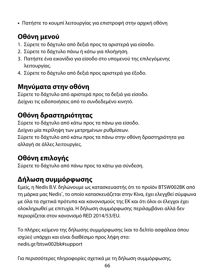**•** Πατήστε το κουμπί λειτουργίας για επιστροφή στην αρχική οθόνη

# **Οθόνη μενού**

- 1. Σύρετε το δάχτυλο από δεξιά προς τα αριστερά για είσοδο.
- 2. Σύρετε το δάχτυλο πάνω ή κάτω για πλοήγηση.
- 3. Πατήστε ένα εικονίδιο για είσοδο στο υπομενού της επιλεγόμενης λειτουργίας.
- 4. Σύρετε το δάχτυλο από δεξιά προς αριστερά για έξοδο.

#### **Μηνύματα στην οθόνη**

Σύρετε το δάχτυλο από αριστερά προς τα δεξιά για είσοδο. Δείχνει τις ειδοποιήσεις από το συνδεδεμένο κινητό.

# **Οθόνη δραστηριότητας**

Σύρετε το δάχτυλο από κάτω προς τα πάνω για είσοδο. Δείχνει μία περίληψη των μετρημένων ρυθμίσεων. Σύρετε το δάχτυλο από κάτω προς τα πάνω στην οθόνη δραστηριότητα για αλλαγή σε άλλες λειτουργίες.

# **Οθόνη επιλογής**

Σύρετε το δάχτυλο από πάνω προς τα κάτω για σύνδεση.

#### **Δήλωση συμμόρφωσης**

Εμείς, η Nedis B.V. δηλώνουμε ως κατασκευαστής ότι το προϊόν BTSW002BK από τη μάρκα μας Nedis˚, το οποίο κατασκευάζεται στην Κίνα, έχει ελεγχθεί σύμφωνα με όλα τα σχετικά πρότυπα και κανονισμούς της ΕΚ και ότι όλοι οι έλεγχοι έχει ολοκληρωθεί με επιτυχία. Η δήλωση συμμόρφωσης περιλαμβάνει αλλά δεν περιορίζεται στον κανονισμό RED 2014/53/EU.

Το πλήρες κείμενο της δήλωσης συμμόρφωσης (και το δελτίο ασφάλεια όπου ισχύει) υπάρχει και είναι διαθέσιμο προς λήψη στο: nedis.gr/btsw002bk#support

Για περισσότερες πληροφορίες σχετικά με τη δήλωση συμμόρφωσης,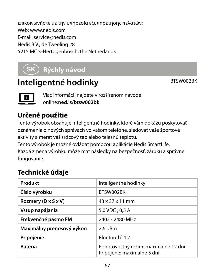επικοινωνήστε με την υπηρεσία εξυπηρέτησης πελατών: Web: www.nedis.com E-mail: service@nedis.com Nedis B.V., de Tweeling 28 5215 MC 's-Hertogenbosch, the Netherlands

# 1 **Rýchly návod**

# **Inteligentné hodinky** BTSW002BK



Viac informácií nájdete v rozšírenom návode online:**ned.is/btsw002bk**

# **Určené použitie**

Tento výrobok obsahuje inteligentné hodinky, ktoré vám dokážu poskytovať oznámenia o nových správach vo vašom telefóne, sledovať vaše športové aktivity a merať váš srdcový tep alebo telesnú teplotu.

Tento výrobok je možné ovládať pomocou aplikácie Nedis SmartLife. Každá zmena výrobku môže mať následky na bezpečnosť, záruku a správne fungovanie.

# **Technické údaje**

| Produkt                   | Inteligentné hodinky                                               |
|---------------------------|--------------------------------------------------------------------|
| Číslo výrobku             | BTSW002BK                                                          |
| Rozmery (D x Š x V)       | 43 x 37 x 11 mm                                                    |
| Vstup napájania           | 5,0 VDC; 0,5 A                                                     |
| Frekvenčné pásmo FM       | 2402 - 2480 MHz                                                    |
| Maximálny prenosový výkon | 2.6 dBm                                                            |
| Pripojenie                | Bluetooth <sup>*</sup> 4.2                                         |
| <b>Batéria</b>            | Pohotovostný režim: maximálne 12 dní<br>Pripojené: maximálne 5 dní |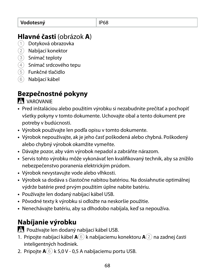#### **Hlavné časti** (obrázok **A**)

- 1 Dotyková obrazovka
- 2 Nabíjací konektor
- 3) Snímač teploty
- $\widehat{4}$  Snímač srdcového tepu
- 5 Funkčné tlačidlo
- 6 Nabíjací kábel

# **Bezpečnostné pokyny**

**VAROVANIE** 

- **•** Pred inštaláciou alebo použitím výrobku si nezabudnite prečítať a pochopiť všetky pokyny v tomto dokumente. Uchovajte obal a tento dokument pre potreby v budúcnosti.
- **•** Výrobok používajte len podľa opisu v tomto dokumente.
- **•** Výrobok nepoužívajte, ak je jeho časť poškodená alebo chybná. Poškodený alebo chybný výrobok okamžite vymeňte.
- **•** Dávajte pozor, aby vám výrobok nepadol a zabráňte nárazom.
- **•** Servis tohto výrobku môže vykonávať len kvalifikovaný technik, aby sa znížilo nebezpečenstvo poranenia elektrickým prúdom.
- **•** Výrobok nevystavujte vode alebo vlhkosti.
- **•** Výrobok sa dodáva s čiastočne nabitou batériou. Na dosiahnutie optimálnej výdrže batérie pred prvým použitím úplne nabite batériu.
- **•** Používajte len dodaný nabíjací kábel USB.
- **•** Pôvodné texty k výrobku si odložte na neskoršie použitie.
- **•** Nenechávajte batériu, aby sa dlhodobo nabíjala, keď sa nepoužíva.

# **Nabíjanie výrobku**

Používajte len dodaný nabíjací kábel USB.

- 1. Pripojte nabíjací kábel **A**6 k nabíjaciemu konektoru **A**2 na zadnej časti inteligentných hodiniek.
- 2. Pripojte **A**<sup>6</sup> k 5,0 V 0,5 A nabíjaciemu portu USB.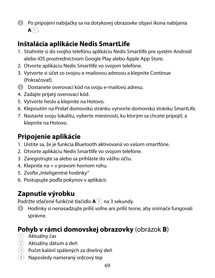4 Po pripojení nabíjačky sa na dotykovej obrazovke objaví ikona nabíjania  $A(1)$ .

# **Inštalácia aplikácie Nedis SmartLife**

- 1. Stiahnite si do svojho telefónu aplikáciu Nedis Smartlife pre systém Android alebo iOS prostredníctvom Google Play alebo Apple App Store.
- 2. Otvorte aplikáciu Nedis Smartlife vo svojom telefóne.
- 3. Vytvorte si účet so svojou e-mailovou adresou a klepnite Continue (Pokračovať).
- **4** Dostanete overovací kód na svoju e-mailovú adresu.
- 4. Zadajte prijatý overovací kód.
- 5. Vytvorte heslo a klepnite na Hotovo.
- 6. Klepnutím na Pridať domovskú stránku vytvorte domovskú stránku SmartLife.
- 7. Nastavte svoju lokalitu, vyberte miestnosti, ku ktorým sa chcete pripojiť, a klepnite na Hotovo.

# **Pripojenie aplikácie**

- 1. Uistite sa, že je funkcia Bluetooth aktivovaná vo vašom smartfóne.
- 2. Otvorte aplikáciu Nedis Smartlife vo svojom telefóne.
- 3. Zaregistrujte sa alebo sa prihláste do vášho účtu.
- 4. Klepnite na + v pravom hornom rohu.
- 5. Zvoľte "Inteligentné hodinky"
- 6. Postupujte podľa pokynov v aplikácii.

# **Zapnutie výrobku**

Podržte stlačené funkčné tlačidlo **A**<sup>5</sup> na 3 sekundy.

4 Hodinky si nenasadzujte príliš voľne ani príliš tesne, aby snímače fungovali správne.

# **Pohyb v rámci domovskej obrazovky** (obrázok **B**)

- 1 Aktuálny čas
- 2 Aktuálny dátum a deň
- 3 Počet kalórií spálených za dnešný deň
- $(4)$  Naposledy nameraný srdcový tep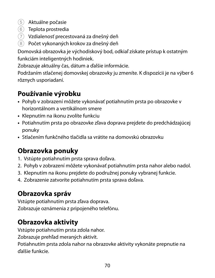- 5 Aktuálne počasie
- 6 Teplota prostredia
- 7 Vzdialenosť precestovaná za dnešný deň
- 8 Počet vykonaných krokov za dnešný deň

Domovská obrazovka je východiskový bod, odkiaľ získate prístup k ostatným funkciám inteligentných hodiniek.

Zobrazuje aktuálny čas, dátum a ďalšie informácie.

Podržaním stlačenej domovskej obrazovky ju zmeníte. K dispozícii je na výber 6 rôznych usporiadaní.

# **Používanie výrobku**

- **•** Pohyb v zobrazení môžete vykonávať potiahnutím prsta po obrazovke v horizontálnom a vertikálnom smere
- **•** Klepnutím na ikonu zvolíte funkciu
- **•** Potiahnutím prsta po obrazovke zľava doprava prejdete do predchádzajúcej ponuky
- **•** Stlačením funkčného tlačidla sa vrátite na domovskú obrazovku

# **Obrazovka ponuky**

- 1. Vstúpte potiahnutím prsta sprava doľava.
- 2. Pohyb v zobrazení môžete vykonávať potiahnutím prsta nahor alebo nadol.
- 3. Klepnutím na ikonu prejdete do podružnej ponuky vybranej funkcie.
- 4. Zobrazenie zatvoríte potiahnutím prsta sprava doľava.

# **Obrazovka správ**

Vstúpte potiahnutím prsta zľava doprava. Zobrazuje oznámenia z pripojeného telefónu.

# **Obrazovka aktivity**

Vstúpte potiahnutím prsta zdola nahor.

Zobrazuje prehľad meraných aktivít.

Potiahnutím prsta zdola nahor na obrazovke aktivity vykonáte prepnutie na ďalšie funkcie.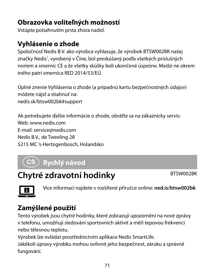# **Obrazovka voliteľných možností**

Vstúpte potiahnutím prsta zhora nadol.

# **Vyhlásenie o zhode**

Spoločnosť Nedis B.V. ako výrobca vyhlasuje, že výrobok BTSW002BK našej značky Nedis", vyrobený v Číne, bol preskúšaný podľa všetkých príslušných noriem a smerníc CE a že všetky skúšky boli ukončené úspešne. Medzi ne okrem iného patrí smernica RED 2014/53/EÚ.

Úplné znenie Vyhlásenia o zhode (a prípadnú kartu bezpečnostných údajov) môžete nájsť a stiahnuť na: nedis.sk/btsw002bk#support

Ak potrebujete ďalšie informácie o zhode, obráťte sa na zákaznícky servis: Web: www.nedis.com E-mail: service@nedis.com Nedis B.V., de Tweeling 28 5215 MC 's-Hertogenbosch, Holandsko

# l **Rychlý návod**

# **Chytré zdravotní hodinky** BTSW002BK



Více informací najdete v rozšířené příručce online: **ned.is/btsw002bk**

# **Zamýšlené použití**

Tento výrobek jsou chytré hodinky, které zobrazují upozornění na nové zprávy v telefonu, umožňují sledování sportovních aktivit a měří tepovou frekvenci nebo tělesnou teplotu.

Výrobek lze ovládat prostřednictvím aplikace Nedis SmartLife.

Jakékoli úpravy výrobku mohou ovlivnit jeho bezpečnost, záruku a správné fungování.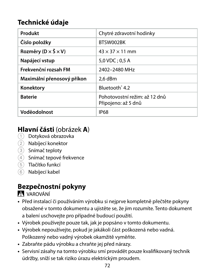#### **Technické údaje**

| Produkt                                   | Chytré zdravotní hodinky                             |
|-------------------------------------------|------------------------------------------------------|
| Číslo položky                             | BTSW002BK                                            |
| Rozměry ( $D \times \check{S} \times V$ ) | $43 \times 37 \times 11$ mm                          |
| Napájecí vstup                            | $5.0$ VDC: 0.5 A                                     |
| Frekvenční rozsah FM                      | 2402-2480 MHz                                        |
| Maximální přenosový příkon                | 2.6 dBm                                              |
| Konektory                                 | Bluetooth <sup>®</sup> 4.2                           |
| <b>Baterie</b>                            | Pohotovostní režim: až 12 dnů<br>Připojeno: až 5 dnů |
| Voděodolnost                              | <b>IP68</b>                                          |

# **Hlavní části** (obrázek **A**)

- 1 Dotyková obrazovka
- 2 Nabíjecí konektor
- 3 Snímač teploty
- 4 Snímač tepové frekvence
- 5 Tlačítko funkcí
- 6 Nabíjecí kabel

# **Bezpečnostní pokyny**

**N** VAROVÁNÍ

- **•** Před instalací či používáním výrobku si nejprve kompletně přečtěte pokyny obsažené v tomto dokumentu a ujistěte se, že jim rozumíte. Tento dokument a balení uschovejte pro případné budoucí použití.
- **•** Výrobek používejte pouze tak, jak je popsáno v tomto dokumentu.
- **•** Výrobek nepoužívejte, pokud je jakákoli část poškozená nebo vadná. Poškozený nebo vadný výrobek okamžitě vyměňte.
- **•** Zabraňte pádu výrobku a chraňte jej před nárazy.
- **•** Servisní zásahy na tomto výrobku smí provádět pouze kvalifikovaný technik údržby, sníží se tak riziko úrazu elektrickým proudem.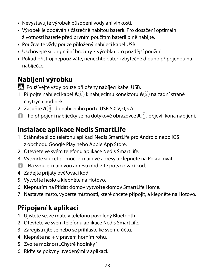- **•** Nevystavujte výrobek působení vody ani vlhkosti.
- **•** Výrobek je dodáván s částečně nabitou baterií. Pro dosažení optimální životnosti baterie před prvním použitím baterii plně nabijte.
- **•** Používejte vždy pouze přiložený nabíjecí kabel USB.
- **•** Uschovejte si originální brožury k výrobku pro pozdější použití.
- **•** Pokud přístroj nepoužíváte, nenechte baterii zbytečně dlouho připojenou na nabíječce.

### **Nabíjení výrobku**

Používejte vždy pouze přiložený nabíjecí kabel USB.

- 1. Připojte nabíjecí kabel **A**6 k nabíjecímu konektoru **A**2 na zadní straně chytrých hodinek.
- 2. Zasuňte **A**<sup>6</sup> do nabíjecího portu USB 5,0 V, 0,5 A.
- 4 Po připojení nabíječky se na dotykové obrazovce **A**1 objeví ikona nabíjení.

### **Instalace aplikace Nedis SmartLife**

- 1. Stáhněte si do telefonu aplikaci Nedis SmartLife pro Android nebo iOS z obchodu Google Play nebo Apple App Store.
- 2. Otevřete ve svém telefonu aplikace Nedis SmartLife.
- 3. Vytvořte si účet pomocí e-mailové adresy a klepněte na Pokračovat.
- 4 Na svou e-mailovou adresu obdržíte potvrzovací kód.
- 4. Zadejte přijatý ověřovací kód.
- 5. Vytvořte heslo a klepněte na Hotovo.
- 6. Klepnutím na Přidat domov vytvořte domov SmartLife Home.
- 7. Nastavte místo, vyberte místnosti, které chcete připojit, a klepněte na Hotovo.

# **Připojení k aplikaci**

- 1. Ujistěte se, že máte v telefonu povolený Bluetooth.
- 2. Otevřete ve svém telefonu aplikace Nedis SmartLife.
- 3. Zaregistrujte se nebo se přihlaste ke svému účtu.
- 4. Klepněte na + v pravém horním rohu.
- 5. Zvolte možnost "Chytré hodinky"
- 6. Řiďte se pokyny uvedenými v aplikaci.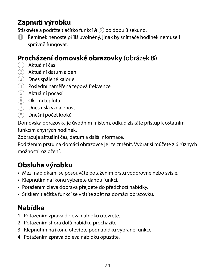### **Zapnutí výrobku**

Stiskněte a podržte tlačítko funkcí **A**5 po dobu 3 sekund.

4 Řemínek nenoste příliš uvolněný, jinak by snímače hodinek nemuseli správně fungovat.

#### **Procházení domovské obrazovky** (obrázek **B**)

- 1 Aktuální čas
- 2 Aktuální datum a den
- 3 Dnes spálené kalorie
- $\left( \widehat{4}\right)$  Poslední naměřená tepová frekvence
- 5 Aktuální počasí
- 6 Okolní teplota
- 7 Dnes ušlá vzdálenost
- 8 Dnešní počet kroků

Domovská obrazovka je úvodním místem, odkud získáte přístup k ostatním funkcím chytrých hodinek.

Zobrazuje aktuální čas, datum a další informace.

Podržením prstu na domácí obrazovce je lze změnit. Vybrat si můžete z 6 různých možností rozložení.

# **Obsluha výrobku**

- **•** Mezi nabídkami se posouváte potažením prstu vodorovně nebo svisle.
- **•** Klepnutím na ikonu vyberete danou funkci.
- **•** Potažením zleva doprava přejdete do předchozí nabídky.
- **•** Stiskem tlačítka funkcí se vrátíte zpět na domácí obrazovku.

# **Nabídka**

- 1. Potažením zprava doleva nabídku otevřete.
- 2. Potažením shora dolů nabídku procházíte.
- 3. Klepnutím na ikonu otevřete podnabídku vybrané funkce.
- 4. Potažením zprava doleva nabídku opustíte.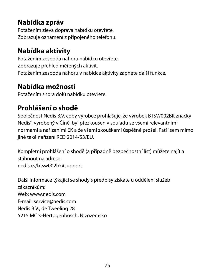### **Nabídka zpráv**

Potažením zleva doprava nabídku otevřete. Zobrazuje oznámení z připojeného telefonu.

#### **Nabídka aktivity**

Potažením zespoda nahoru nabídku otevřete. Zobrazuje přehled měřených aktivit. Potažením zespoda nahoru v nabídce aktivity zapnete další funkce.

### **Nabídka možností**

Potažením shora dolů nabídku otevřete.

### **Prohlášení o shodě**

Společnost Nedis B.V. coby výrobce prohlašuje, že výrobek BTSW002BK značky Nedis® , vyrobený v Číně, byl přezkoušen v souladu se všemi relevantními normami a nařízeními EK a že všemi zkouškami úspěšně prošel. Patří sem mimo jiné také nařízení RED 2014/53/EU.

Kompletní prohlášení o shodě (a případně bezpečnostní list) můžete najít a stáhnout na adrese: nedis.cs/btsw002bk#support

Další informace týkající se shody s předpisy získáte u oddělení služeb zákazníkům: Web: www.nedis.com E-mail: service@nedis.com Nedis B.V., de Tweeling 28 5215 MC 's-Hertogenbosch, Nizozemsko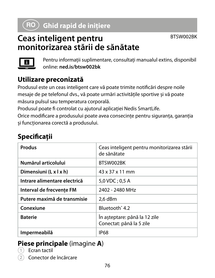# y **Ghid rapid de inițiere**

# **Ceas inteligent pentru monitorizarea stării de sănătate**



Pentru informații suplimentare, consultați manualul extins, disponibil online: **ned.is/btsw002bk**

#### **Utilizare preconizată**

Produsul este un ceas inteligent care vă poate trimite notificări despre noile mesaje de pe telefonul dvs., vă poate urmări activitățile sportive și vă poate măsura pulsul sau temperatura corporală.

Produsul poate fi controlat cu ajutorul aplicației Nedis SmartLife.

Orice modificare a produsului poate avea consecințe pentru siguranța, garanția și funcționarea corectă a produsului.

| Specificații |  |
|--------------|--|
|              |  |

| Produs                       | Ceas inteligent pentru monitorizarea stării<br>de sănătate |  |
|------------------------------|------------------------------------------------------------|--|
| Numărul articolului          | BTSW002BK                                                  |  |
| Dimensiuni (L x l x h)       | 43 x 37 x 11 mm                                            |  |
| Intrare alimentare electrică | 5,0 VDC ; 0,5 A                                            |  |
| Interval de frecvente FM     | 2402 - 2480 MHz                                            |  |
| Putere maximă de transmisie  | 2.6 dBm                                                    |  |
| Conexiune                    | Bluetooth <sup>®</sup> 4.2                                 |  |
| <b>Baterie</b>               | În asteptare: până la 12 zile<br>Conectat: până la 5 zile  |  |
| Impermeabilă                 | <b>IP68</b>                                                |  |

#### **Piese principale** (imagine **A**)

- Ecran tactil
- Conector de încărcare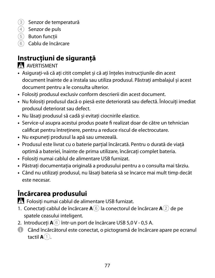- 3 Senzor de temperatură
- 4 Senzor de puls
- 5 Buton funcții
- 6 Cablu de încărcare

# **Instrucțiuni de siguranță**

**N** AVERTISMENT

- **•** Asigurați-vă că ați citit complet și că ați înțeles instrucțiunile din acest document înainte de a instala sau utiliza produsul. Păstrați ambalajul și acest document pentru a le consulta ulterior.
- **•** Folosiți produsul exclusiv conform descrierii din acest document.
- **•** Nu folosiți produsul dacă o piesă este deteriorată sau defectă. Înlocuiți imediat produsul deteriorat sau defect.
- **•** Nu lăsați produsul să cadă și evitați ciocnirile elastice.
- **•** Service-ul asupra acestui produs poate fi realizat doar de către un tehnician calificat pentru întreținere, pentru a reduce riscul de electrocutare.
- **•** Nu expuneți produsul la apă sau umezeală.
- **•** Produsul este livrat cu o baterie parțial încărcată. Pentru o durată de viață optimă a bateriei, înainte de prima utilizare, încărcați complet bateria.
- **•** Folosiți numai cablul de alimentare USB furnizat.
- **•** Păstrați documentația originală a produsului pentru a o consulta mai târziu.
- **•** Când nu utilizați produsul, nu lăsați bateria să se încarce mai mult timp decât este necesar.

# **Încărcarea produsului**

-Folosiți numai cablul de alimentare USB furnizat.

- 1. Conectați cablul de încărcare **A**6 la conectorul de încărcare **A**2 de pe spatele ceasului inteligent.
- 2. Introduceți **A**6 într-un port de încărcare USB 5,0 V 0,5 A.
- 4 Când încărcătorul este conectat, o pictogramă de încărcare apare pe ecranul tactil **A**<sup>1</sup>.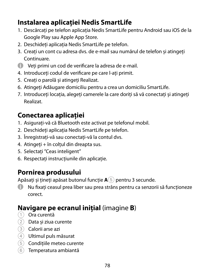### **Instalarea aplicației Nedis SmartLife**

- 1. Descărcați pe telefon aplicația Nedis SmartLife pentru Android sau iOS de la Google Play sau Apple App Store.
- 2. Deschideți aplicația Nedis SmartLife pe telefon.
- 3. Creați un cont cu adresa dvs. de e-mail sau numărul de telefon și atingeți Continuare.
- 4 Veți primi un cod de verificare la adresa de e-mail.
- 4. Introduceți codul de verificare pe care l-ați primit.
- 5. Creați o parolă și atingeți Realizat.
- 6. Atingeți Adăugare domiciliu pentru a crea un domiciliu SmartLife.
- 7. Introduceți locația, alegeți camerele la care doriți să vă conectați și atingeți Realizat.

# **Conectarea aplicației**

- 1. Asigurați-vă că Bluetooth este activat pe telefonul mobil.
- 2. Deschideți aplicația Nedis SmartLife pe telefon.
- 3. Înregistrați-vă sau conectați-vă la contul dvs.
- 4. Atingeți + în colțul din dreapta sus.
- 5. Selectați "Ceas inteligent"
- 6. Respectați instrucțiunile din aplicație.

### **Pornirea produsului**

Apăsați și țineți apăsat butonul funcție **A**5 pentru 3 secunde.

4 Nu fixați ceasul prea liber sau prea strâns pentru ca senzorii să funcționeze corect.

### **Navigare pe ecranul inițial** (imagine **B**)

- 1 Ora curentă
- $(2)$  Data și ziua curente
- 3 Calorii arse azi
- 4 Ultimul puls măsurat
- 5 Condițiile meteo curente
- 6 Temperatura ambiantă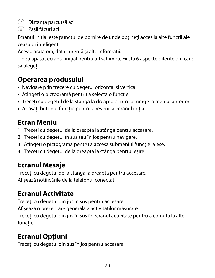$(7)$  Distanța parcursă azi

8 Pașii făcuți azi

Ecranul inițial este punctul de pornire de unde obțineți acces la alte funcții ale ceasului inteligent.

Acesta arată ora, data curentă și alte informații.

Țineți apăsat ecranul inițial pentru a-l schimba. Există 6 aspecte diferite din care să alegeți.

### **Operarea produsului**

- **•** Navigare prin trecere cu degetul orizontal și vertical
- **•** Atingeți o pictogramă pentru a selecta o funcție
- **•** Treceți cu degetul de la stânga la dreapta pentru a merge la meniul anterior
- **•** Apăsați butonul funcție pentru a reveni la ecranul inițial

### **Ecran Meniu**

- 1. Treceți cu degetul de la dreapta la stânga pentru accesare.
- 2. Treceți cu degetul în sus sau în jos pentru navigare.
- 3. Atingeți o pictogramă pentru a accesa submeniul funcției alese.
- 4. Treceți cu degetul de la dreapta la stânga pentru ieșire.

# **Ecranul Mesaje**

Treceți cu degetul de la stânga la dreapta pentru accesare. Afișează notificările de la telefonul conectat.

# **Ecranul Activitate**

Treceți cu degetul din jos în sus pentru accesare.

Afișează o prezentare generală a activităților măsurate.

Treceți cu degetul din jos în sus în ecranul activitate pentru a comuta la alte funcții.

# **Ecranul Opțiuni**

Treceți cu degetul din sus în jos pentru accesare.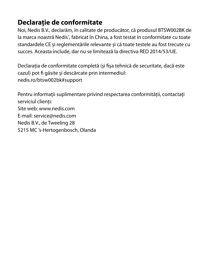#### **Declarație de conformitate**

Noi, Nedis B.V., declarăm, în calitate de producător, că produsul BTSW002BK de la marca noastră Nedis<sup>\*</sup>, fabricat în China, a fost testat în conformitate cu toate standardele CE și reglementările relevante și că toate testele au fost trecute cu succes. Aceasta include, dar nu se limitează la directiva RED 2014/53/UE.

Declarația de conformitate completă (și fișa tehnică de securitate, dacă este cazul) pot fi găsite și descărcate prin intermediul: nedis.ro/btsw002bk#support

Pentru informații suplimentare privind respectarea conformității, contactați serviciul clienți: Site web: www.nedis.com E-mail: service@nedis.com Nedis B.V., de Tweeling 28 5215 MC 's-Hertogenbosch, Olanda